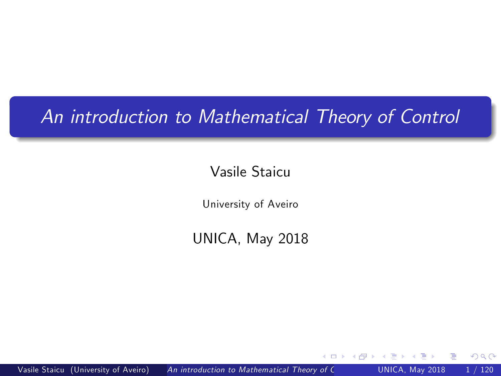# An introduction to Mathematical Theory of Control

#### Vasile Staicu

University of Aveiro

UNICA, May 2018

 $\leftarrow$ 

<span id="page-0-0"></span> $200$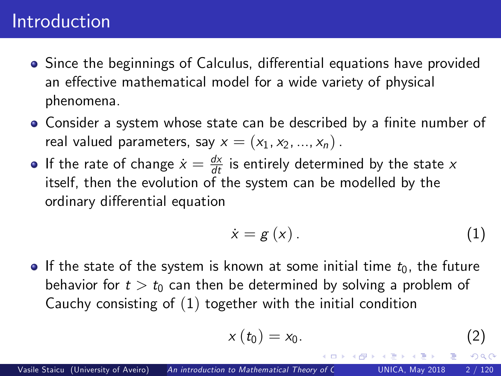## Introduction

- Since the beginnings of Calculus, differential equations have provided an effective mathematical model for a wide variety of physical phenomena.
- Consider a system whose state can be described by a finite number of real valued parameters, say  $x = (x_1, x_2, ..., x_n)$ .
- If the rate of change  $\dot{x} = \frac{dx}{dt}$  is entirely determined by the state  $x$ itself, then the evolution of the system can be modelled by the ordinary differential equation

<span id="page-1-0"></span>
$$
\dot{x} = g\left(x\right). \tag{1}
$$

If the state of the system is known at some initial time  $t_0$ , the future behavior for  $t > t_0$  can then be determined by solving a problem of Cauchy consisting of ([1](#page-1-0)) together with the initial condition

<span id="page-1-1"></span>
$$
x(t_0)=x_0.\t\t(2)
$$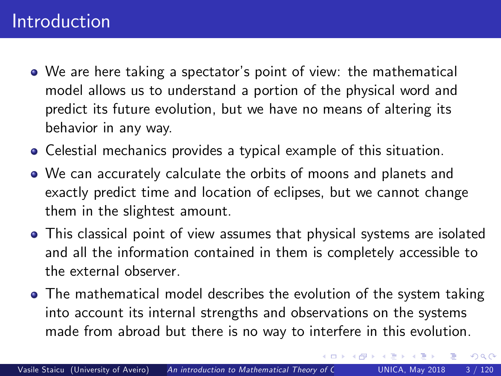#### Introduction

- We are here taking a spectator's point of view: the mathematical model allows us to understand a portion of the physical word and predict its future evolution, but we have no means of altering its behavior in any way.
- Celestial mechanics provides a typical example of this situation.
- We can accurately calculate the orbits of moons and planets and exactly predict time and location of eclipses, but we cannot change them in the slightest amount.
- This classical point of view assumes that physical systems are isolated and all the information contained in them is completely accessible to the external observer.
- The mathematical model describes the evolution of the system taking into account its internal strengths and observations on the systems made from abroad but there is no way to interfere in this evolution.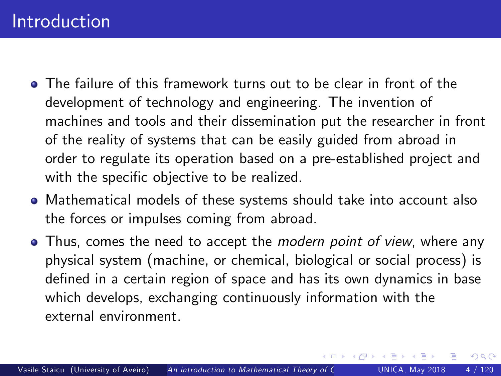- The failure of this framework turns out to be clear in front of the development of technology and engineering. The invention of machines and tools and their dissemination put the researcher in front of the reality of systems that can be easily guided from abroad in order to regulate its operation based on a pre-established project and with the specific objective to be realized.
- Mathematical models of these systems should take into account also the forces or impulses coming from abroad.
- Thus, comes the need to accept the *modern point of view*, where any physical system (machine, or chemical, biological or social process) is defined in a certain region of space and has its own dynamics in base which develops, exchanging continuously information with the external environment.

 $200$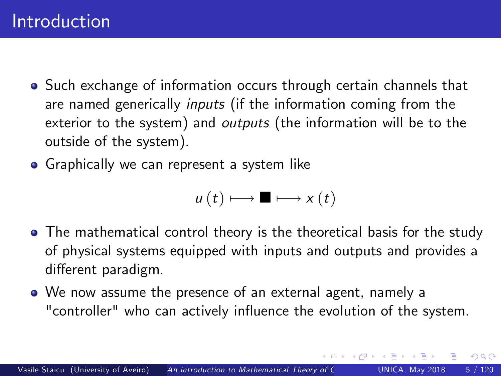- **•** Such exchange of information occurs through certain channels that are named generically inputs (if the information coming from the exterior to the system) and *outputs* (the information will be to the outside of the system).
- **•** Graphically we can represent a system like

$$
u(t) \longmapsto \blacksquare \longmapsto x(t)
$$

- The mathematical control theory is the theoretical basis for the study of physical systems equipped with inputs and outputs and provides a different paradigm.
- We now assume the presence of an external agent, namely a "controller" who can actively influence the evolution of the system.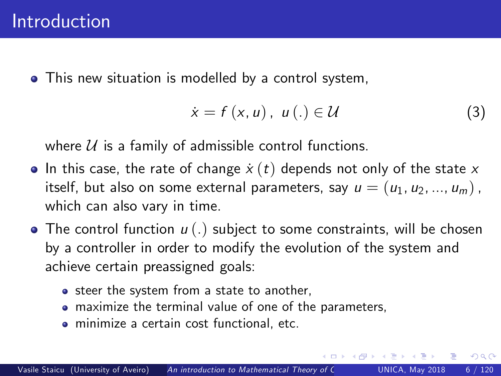• This new situation is modelled by a control system,

<span id="page-5-0"></span>
$$
\dot{x} = f(x, u), \ u(.) \in \mathcal{U}
$$
 (3)

つへへ

where  $U$  is a family of admissible control functions.

- In this case, the rate of change  $\dot{x}(t)$  depends not only of the state x itself, but also on some external parameters, say  $u = (u_1, u_2, ..., u_m)$ , which can also vary in time.
- The control function  $u(.)$  subject to some constraints, will be chosen by a controller in order to modify the evolution of the system and achieve certain preassigned goals:
	- steer the system from a state to another,
	- maximize the terminal value of one of the parameters,
	- minimize a certain cost functional, etc.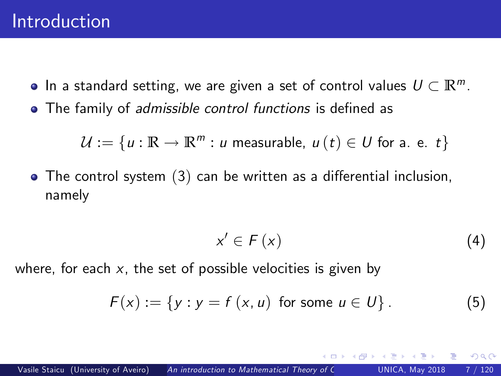- $\bullet$  In a standard setting, we are given a set of control values  $U \subset \mathbb{R}^m$ .
- The family of *admissible control functions* is defined as

$$
\mathcal{U} := \{u : \mathbb{R} \to \mathbb{R}^m : u \text{ measurable}, u(t) \in U \text{ for a. e. } t\}
$$

 $\bullet$  The control system  $(3)$  $(3)$  $(3)$  can be written as a differential inclusion, namely

<span id="page-6-0"></span>
$$
x' \in F(x) \tag{4}
$$

 $\Omega$ 

where, for each  $x$ , the set of possible velocities is given by

$$
F(x) := \{ y : y = f(x, u) \text{ for some } u \in U \}.
$$
 (5)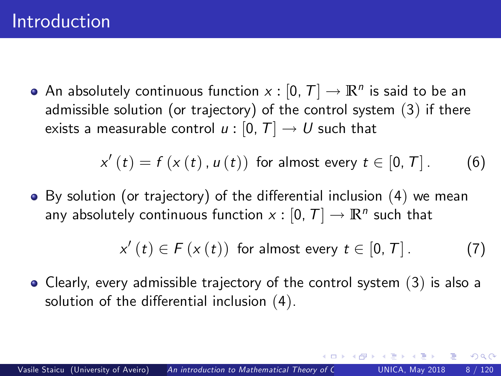An absolutely continuous function  $x : [0, T] \rightarrow \mathbb{R}^n$  is said to be an admissible solution (or trajectory) of the control system ([3](#page-5-0)) if there exists a measurable control  $u : [0, T] \rightarrow U$  such that

$$
x'(t) = f(x(t), u(t))
$$
 for almost every  $t \in [0, T]$ . (6)

 $\bullet$  By solution (or trajectory) of the differential inclusion ([4](#page-6-0)) we mean any absolutely continuous function  $x : [0, T] \rightarrow \mathbb{R}^n$  such that

$$
x'(t) \in F(x(t)) \text{ for almost every } t \in [0, T]. \tag{7}
$$

つひい

Clearly, every admissible trajectory of the control system ([3](#page-5-0)) is also a solution of the differential inclusion  $(4)$  $(4)$  $(4)$ .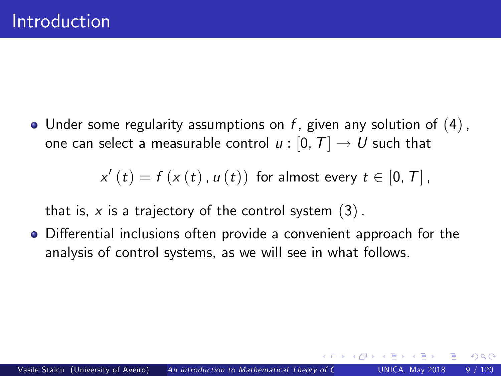• Under some regularity assumptions on  $f$ , given any solution of  $(4)$  $(4)$  $(4)$ , one can select a measurable control  $u : [0, T] \rightarrow U$  such that

$$
x'(t) = f(x(t), u(t))
$$
 for almost every  $t \in [0, T]$ ,

that is, x is a trajectory of the control system  $(3)$  $(3)$  $(3)$ .

• Differential inclusions often provide a convenient approach for the analysis of control systems, as we will see in what follows.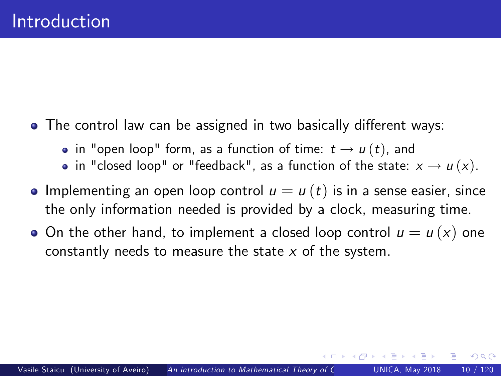- The control law can be assigned in two basically different ways:
	- in "open loop" form, as a function of time:  $t \to u(t)$ , and
	- in "closed loop" or "feedback", as a function of the state:  $x \rightarrow u(x)$ .
- **Implementing an open loop control**  $u = u(t)$  **is in a sense easier, since** the only information needed is provided by a clock, measuring time.
- On the other hand, to implement a closed loop control  $u = u(x)$  one constantly needs to measure the state  $x$  of the system.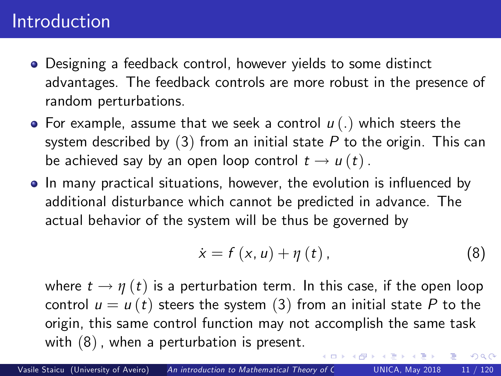## Introduction

- Designing a feedback control, however yields to some distinct advantages. The feedback controls are more robust in the presence of random perturbations.
- For example, assume that we seek a control  $u(.)$  which steers the system described by  $(3)$  $(3)$  $(3)$  from an initial state P to the origin. This can be achieved say by an open loop control  $t \rightarrow u(t)$ .
- In many practical situations, however, the evolution is influenced by additional disturbance which cannot be predicted in advance. The actual behavior of the system will be thus be governed by

<span id="page-10-0"></span>
$$
\dot{x}=f\left(x,u\right)+\eta\left(t\right),\tag{8}
$$

 $\Omega$ 

where  $t \to \eta(t)$  is a perturbation term. In this case, if the open loop control  $u = u(t)$  steers the system ([3](#page-5-0)) from an initial state P to the origin, this same control function may not accomplish the same task with ([8](#page-10-0)), when a perturbation is present.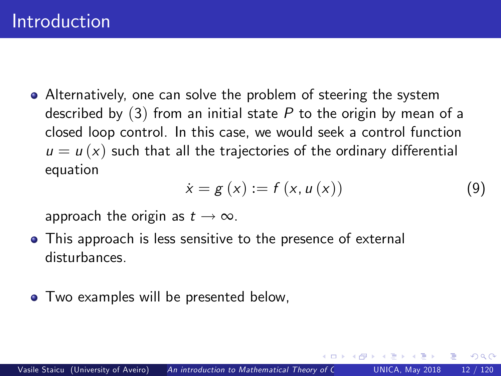Alternatively, one can solve the problem of steering the system described by  $(3)$  $(3)$  $(3)$  from an initial state P to the origin by mean of a closed loop control. In this case, we would seek a control function  $u = u(x)$  such that all the trajectories of the ordinary differential equation

$$
\dot{x} = g(x) := f(x, u(x)) \tag{9}
$$

つひひ

approach the origin as  $t \to \infty$ .

- This approach is less sensitive to the presence of external disturbances.
- Two examples will be presented below,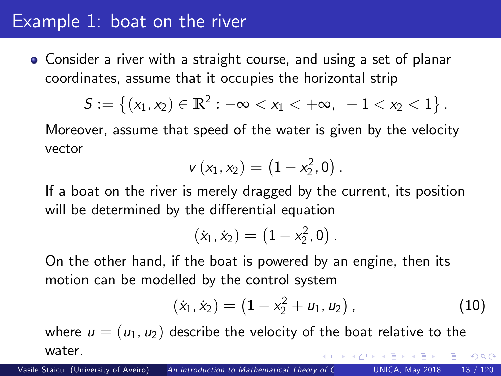## Example 1: boat on the river

Consider a river with a straight course, and using a set of planar coordinates, assume that it occupies the horizontal strip

$$
S:=\left\{(x_1,x_2)\in\mathbb{R}^2: -\infty
$$

Moreover, assume that speed of the water is given by the velocity vector

$$
v(x_1,x_2)=(1-x_2^2,0).
$$

If a boat on the river is merely dragged by the current, its position will be determined by the differential equation

$$
(\dot{x}_1,\dot{x}_2)=\left(1-x_2^2,0\right).
$$

On the other hand, if the boat is powered by an engine, then its motion can be modelled by the control system

<span id="page-12-0"></span>
$$
(\dot{x}_1, \dot{x}_2) = (1 - x_2^2 + u_1, u_2), \qquad (10)
$$

where  $u = (u_1, u_2)$  describe the velocity of the boat relative to the water.  $200$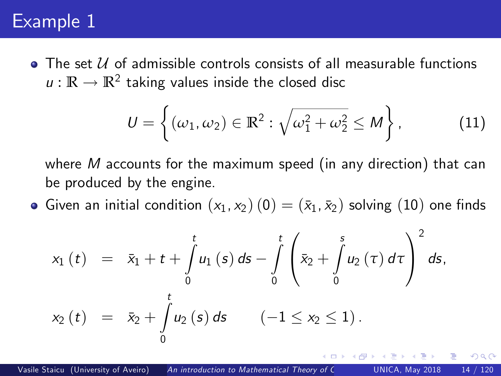# Example 1

 $\bullet$  The set U of admissible controls consists of all measurable functions  $u:\mathbb{R}\to\mathbb{R}^2$  taking values inside the closed disc

$$
U = \left\{ (\omega_1, \omega_2) \in \mathbb{R}^2 : \sqrt{\omega_1^2 + \omega_2^2} \le M \right\},\tag{11}
$$

<span id="page-13-0"></span>つひひ

where  $M$  accounts for the maximum speed (in any direction) that can be produced by the engine.

Given an initial condition  $(x_1, x_2)$   $(0) = (\bar{x}_1, \bar{x}_2)$  solving  $(10)$  $(10)$  $(10)$  one finds

$$
x_{1}(t) = \bar{x}_{1} + t + \int_{0}^{t} u_{1}(s) ds - \int_{0}^{t} \left( \bar{x}_{2} + \int_{0}^{s} u_{2}(\tau) d\tau \right)^{2} ds,
$$
  

$$
x_{2}(t) = \bar{x}_{2} + \int_{0}^{t} u_{2}(s) ds \qquad (-1 \leq x_{2} \leq 1).
$$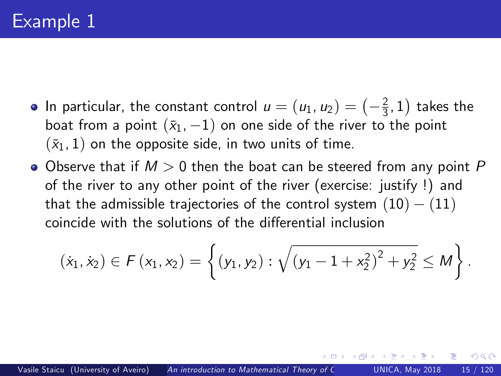- In particular, the constant control  $u = (u_1, u_2) = \left(-\frac{2}{3}, 1\right)$  takes the boat from a point  $(\bar{x}_1, -1)$  on one side of the river to the point  $(\bar{x}_1, 1)$  on the opposite side, in two units of time.
- $\bullet$  Observe that if  $M > 0$  then the boat can be steered from any point P of the river to any other point of the river (exercise: justify !) and that the admissible trajectories of the control system  $(10) - (11)$  $(10) - (11)$  $(10) - (11)$  $(10) - (11)$  $(10) - (11)$ coincide with the solutions of the differential inclusion

$$
(\dot{x}_1, \dot{x}_2) \in F(x_1, x_2) = \left\{ (y_1, y_2) : \sqrt{(y_1 - 1 + x_2^2)^2 + y_2^2} \leq M \right\}.
$$

つひひ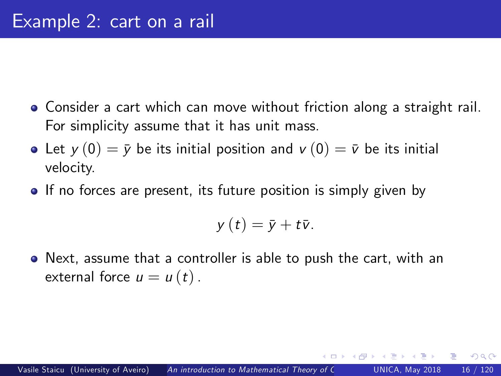- Consider a cart which can move without friction along a straight rail. For simplicity assume that it has unit mass.
- Let  $y(0) = \overline{y}$  be its initial position and  $v(0) = \overline{v}$  be its initial velocity.
- **If no forces are present, its future position is simply given by**

$$
y(t)=\bar{y}+t\bar{v}.
$$

Next, assume that a controller is able to push the cart, with an external force  $u = u(t)$ .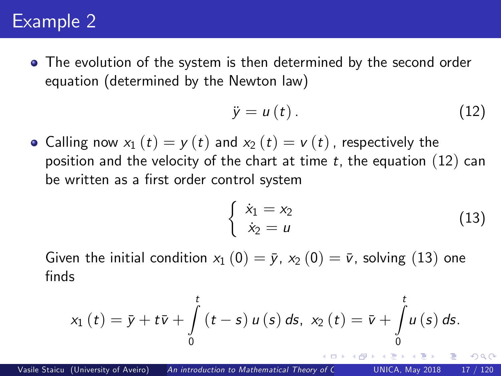# Example 2

The evolution of the system is then determined by the second order equation (determined by the Newton law)

<span id="page-16-0"></span>
$$
\ddot{y} = u(t). \tag{12}
$$

• Calling now  $x_1(t) = y(t)$  and  $x_2(t) = v(t)$ , respectively the position and the velocity of the chart at time  $t$ , the equation ([12](#page-16-0)) can be written as a first order control system

<span id="page-16-1"></span>
$$
\begin{cases}\n\dot{x}_1 = x_2 \\
\dot{x}_2 = u\n\end{cases}
$$
\n(13)

Given the initial condition  $x_1$  (0) =  $\bar{y}$ ,  $x_2$  (0) =  $\bar{v}$ , solving ([13](#page-16-1)) one finds

$$
x_{1}(t) = \bar{y} + t\bar{v} + \int_{0}^{t} (t - s) u(s) ds, x_{2}(t) = \bar{v} + \int_{0}^{t} u(s) ds.
$$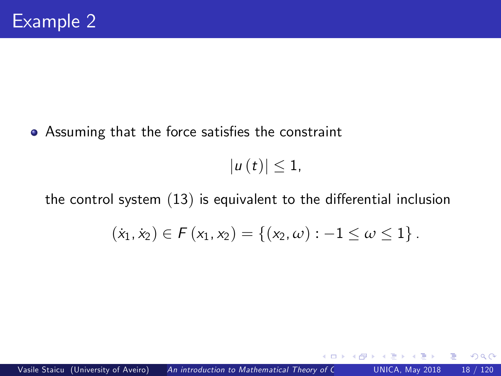• Assuming that the force satisfies the constraint

 $|u(t)| \leq 1$ ,

the control system  $(13)$  $(13)$  $(13)$  is equivalent to the differential inclusion

$$
(\dot{x}_1, \dot{x}_2) \in F(x_1, x_2) = \{(x_2, \omega) : -1 \leq \omega \leq 1\}.
$$

4 D F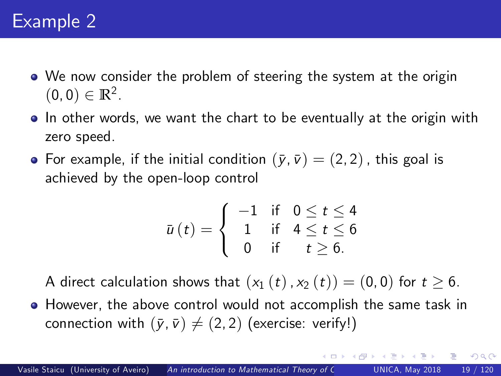- We now consider the problem of steering the system at the origin  $(0, 0) \in \mathbb{R}^2$ .
- **In** other words, we want the chart to be eventually at the origin with zero speed.
- For example, if the initial condition  $(\bar{y}, \bar{v}) = (2, 2)$ , this goal is achieved by the open-loop control

$$
\bar{u}(t) = \begin{cases}\n-1 & \text{if } 0 \leq t \leq 4 \\
1 & \text{if } 4 \leq t \leq 6 \\
0 & \text{if } t \geq 6.\n\end{cases}
$$

A direct calculation shows that  $(x_1 (t), x_2 (t)) = (0, 0)$  for  $t \ge 6$ .

However, the above control would not accomplish the same task in connection with  $(\bar{y}, \bar{v}) \neq (2, 2)$  (exercise: verify!)

 $200$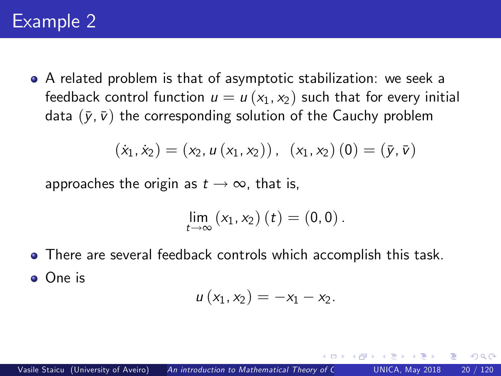A related problem is that of asymptotic stabilization: we seek a feedback control function  $u = u(x_1, x_2)$  such that for every initial data  $(\bar{y}, \bar{v})$  the corresponding solution of the Cauchy problem

$$
(\dot{x}_1, \dot{x}_2) = (x_2, u(x_1, x_2)), (x_1, x_2) (0) = (\bar{y}, \bar{v})
$$

approaches the origin as  $t \to \infty$ , that is,

$$
\lim_{t\to\infty}(x_1,x_2)(t)=(0,0).
$$

There are several feedback controls which accomplish this task. One is

$$
u\left(x_1,x_2\right)=-x_1-x_2.
$$

つひひ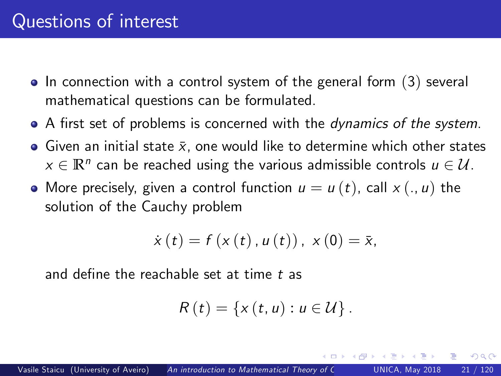- $\bullet$  In connection with a control system of the general form  $(3)$  $(3)$  $(3)$  several mathematical questions can be formulated.
- A first set of problems is concerned with the *dynamics of the system*.
- Given an initial state  $\bar{x}$ , one would like to determine which other states  $x \in \mathbb{R}^n$  can be reached using the various admissible controls  $u \in \mathcal{U}$ .
- More precisely, given a control function  $u = u(t)$ , call  $x(.) u$  the solution of the Cauchy problem

$$
\dot{x}(t) = f(x(t), u(t)), x(0) = \bar{x},
$$

and define the reachable set at time  $t$  as

$$
R(t) = \{x(t, u) : u \in U\}.
$$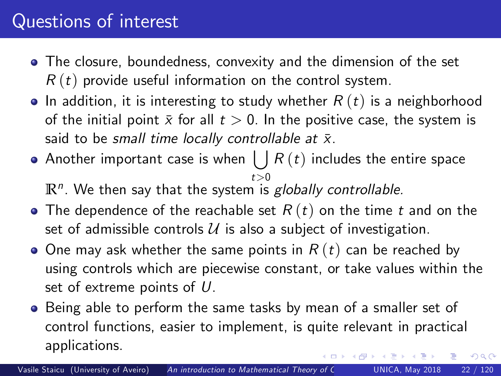# Questions of interest

- The closure, boundedness, convexity and the dimension of the set  $R(t)$  provide useful information on the control system.
- In addition, it is interesting to study whether  $R(t)$  is a neighborhood of the initial point  $\bar{x}$  for all  $t > 0$ . In the positive case, the system is said to be small time locally controllable at  $\bar{x}$ .
- Another important case is when  $\bigcup R\left( t\right)$  includes the entire space  $t\geq0$

 $\mathbb{R}^n$ . We then say that the system is  $\mathit{globally}$  controllable.

- The dependence of the reachable set  $R(t)$  on the time t and on the set of admissible controls  $U$  is also a subject of investigation.
- $\bullet$  One may ask whether the same points in  $R(t)$  can be reached by using controls which are piecewise constant, or take values within the set of extreme points of U.
- Being able to perform the same tasks by mean of a smaller set of control functions, easier to implement, is quite relevant in practical applications.  $200$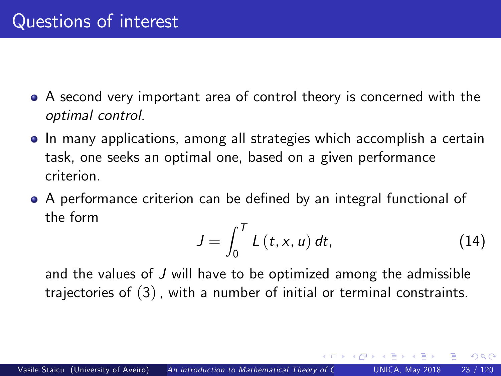- A second very important area of control theory is concerned with the optimal control.
- In many applications, among all strategies which accomplish a certain task, one seeks an optimal one, based on a given performance criterion.
- A performance criterion can be defined by an integral functional of the form

<span id="page-22-0"></span>
$$
J = \int_0^T L(t, x, u) dt, \qquad (14)
$$

 $200$ 

and the values of J will have to be optimized among the admissible trajectories of ([3](#page-5-0)), with a number of initial or terminal constraints.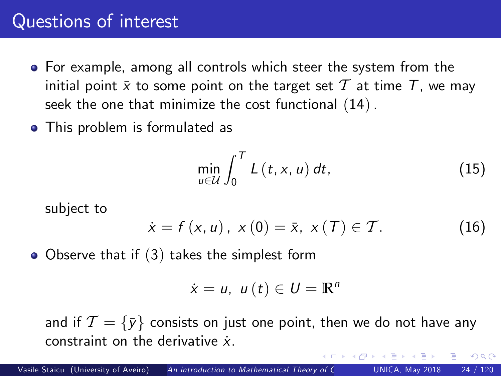## Questions of interest

- For example, among all controls which steer the system from the initial point  $\bar{x}$  to some point on the target set  $\mathcal T$  at time  $\mathcal T$ , we may seek the one that minimize the cost functional ([14](#page-22-0)).
- This problem is formulated as

<span id="page-23-1"></span>
$$
\min_{u \in \mathcal{U}} \int_0^T L(t, x, u) dt, \tag{15}
$$

<span id="page-23-2"></span><span id="page-23-0"></span> $\Omega$ 

subject to

$$
\dot{x} = f(x, u), \ x(0) = \bar{x}, \ x(T) \in T.
$$
 (16)

• Observe that if ([3](#page-5-0)) takes the simplest form

 $\dot{x} = u, u(t) \in U = \mathbb{R}^n$ 

and if  $\mathcal{T} = \{\bar{y}\}$  consists on just one point, then we do not have any constraint on the derivative  $\dot{x}$ .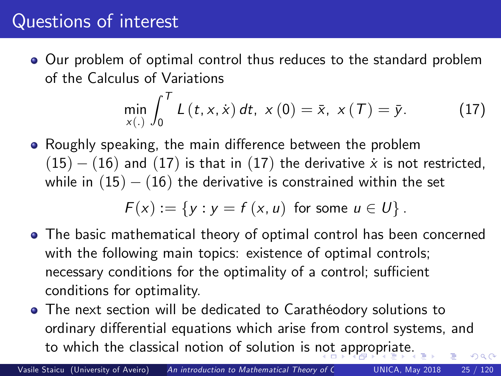# Questions of interest

Our problem of optimal control thus reduces to the standard problem of the Calculus of Variations

<span id="page-24-1"></span>
$$
\min_{x(.)} \int_0^T L(t, x, \dot{x}) dt, \ x(0) = \bar{x}, \ x(T) = \bar{y}.
$$
 (17)

• Roughly speaking, the main difference between the problem  $(15) - (16)$  $(15) - (16)$  $(15) - (16)$  $(15) - (16)$  $(15) - (16)$  and  $(17)$  $(17)$  $(17)$  is that in  $(17)$  the derivative x is not restricted, while in  $(15) - (16)$  $(15) - (16)$  $(15) - (16)$  $(15) - (16)$  $(15) - (16)$  the derivative is constrained within the set

<span id="page-24-0"></span>
$$
F(x) := \{y : y = f(x, u) \text{ for some } u \in U\}.
$$

- The basic mathematical theory of optimal control has been concerned with the following main topics: existence of optimal controls; necessary conditions for the optimality of a control; sufficient conditions for optimality.
- The next section will be dedicated to Carathéodory solutions to ordinary differential equations which arise from control systems, and to which the classical notion of solution is [not](#page-23-0) [a](#page-25-0)[p](#page-23-0)[pr](#page-24-0)[o](#page-25-0)[pr](#page-0-0)[i](#page-1-1)[a](#page-24-0)[te](#page-25-0)[.](#page-0-0)  $\Omega$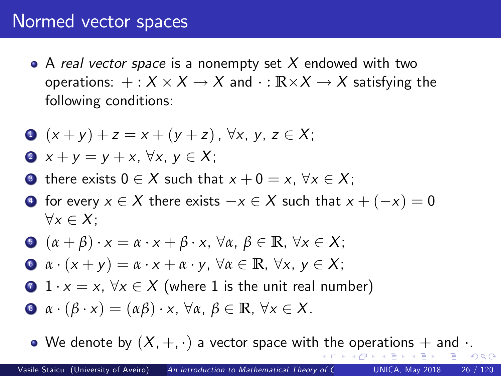#### Normed vector spaces

• A real vector space is a nonempty set  $X$  endowed with two operations:  $+ : X \times X \to X$  and  $\cdot : \mathbb{R} \times X \to X$  satisfying the following conditions:

$$
x + (x + y) + z = x + (y + z), \forall x, y, z \in X;
$$

$$
x + y = y + x, \ \forall x, \ y \in X;
$$

- **3** there exists  $0 \in X$  such that  $x + 0 = x$ ,  $\forall x \in X$ ;
- $\bullet$  for every  $x \in X$  there exists  $-x \in X$  such that  $x + (-x) = 0$  $\forall x \in X$ :

$$
\bullet \ (\alpha + \beta) \cdot x = \alpha \cdot x + \beta \cdot x, \ \forall \alpha, \ \beta \in \mathbb{R}, \ \forall x \in X;
$$

- $\bullet$   $\alpha \cdot (x + y) = \alpha \cdot x + \alpha \cdot y$ ,  $\forall \alpha \in \mathbb{R}, \forall x, y \in X$ ;
- 1  $\cdot$   $x = x$ ,  $\forall x \in X$  (where 1 is the unit real number)
- **8**  $\alpha \cdot (\beta \cdot x) = (\alpha \beta) \cdot x$ ,  $\forall \alpha, \beta \in \mathbb{R}$ ,  $\forall x \in X$ .

<span id="page-25-0"></span>• W[e](#page-26-0) den[o](#page-31-0)te by  $(X, +, \cdot)$  $(X, +, \cdot)$  $(X, +, \cdot)$  a vector space wit[h th](#page-24-0)e [o](#page-24-0)[pe](#page-25-0)[r](#page-26-0)[at](#page-24-0)[i](#page-25-0)o[n](#page-32-0)[s](#page-24-0)  $+$  [and](#page-0-0)  $\cdot$ .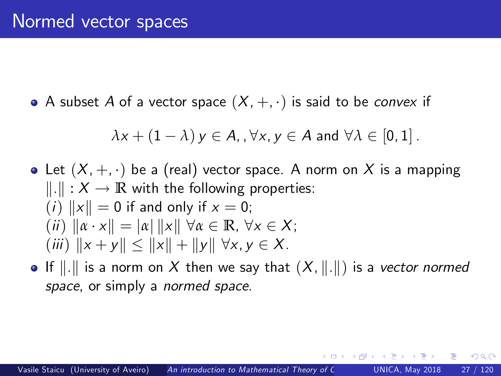A subset A of a vector space  $(X, +, \cdot)$  is said to be convex if

$$
\lambda x + (1 - \lambda) y \in A, \forall x, y \in A \text{ and } \forall \lambda \in [0, 1].
$$

- Let  $(X, +, \cdot)$  be a (real) vector space. A norm on X is a mapping  $\Vert \cdot \Vert : X \to \mathbb{R}$  with the following properties: (*i*)  $\|x\| = 0$  if and only if  $x = 0$ ;  $(iii)$   $\|\alpha \cdot x\| = |\alpha|$   $\|x\|$   $\forall \alpha \in \mathbb{R}, \forall x \in X;$ (iii)  $||x + y|| \le ||x|| + ||y|| \forall x, y \in X$ .
- If  $\|.\|$  is a norm on X then we say that  $(X, \|.\|)$  is a vector normed space, or simply a *normed space*.

<span id="page-26-0"></span>つひひ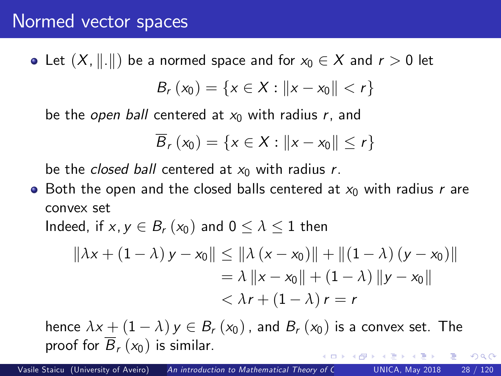#### Normed vector spaces

• Let  $(X, \|.\|)$  be a normed space and for  $x_0 \in X$  and  $r > 0$  let  $B_r(x_0) = \{x \in X : ||x - x_0|| < r\}$ 

be the open ball centered at  $x_0$  with radius r, and

$$
\overline{B}_r(x_0)=\{x\in X:\|x-x_0\|\leq r\}
$$

be the *closed ball* centered at  $x_0$  with radius r.

• Both the open and the closed balls centered at  $x_0$  with radius r are convex set

Indeed, if  $x, y \in B_r(x_0)$  and  $0 \leq \lambda \leq 1$  then

$$
\begin{aligned} \| \lambda x + (1 - \lambda) y - x_0 \| &\le \| \lambda (x - x_0) \| + \| (1 - \lambda) (y - x_0) \| \\ &= \lambda \| x - x_0 \| + (1 - \lambda) \| y - x_0 \| \\ &< \lambda r + (1 - \lambda) r = r \end{aligned}
$$

 $200$ 

hence  $\lambda x + (1 - \lambda) y \in B_r(x_0)$ , and  $B_r(x_0)$  is a convex set. The proof for  $\overline{B}_r(x_0)$  is similar.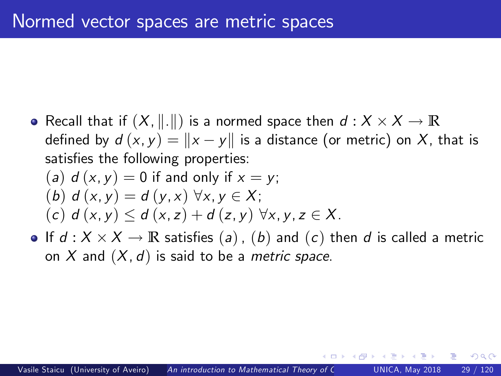Recall that if  $(X, \|.\|)$  is a normed space then  $d : X \times X \to \mathbb{R}$ defined by  $d(x, y) = ||x - y||$  is a distance (or metric) on X, that is satisfies the following properties:

(a) 
$$
d(x, y) = 0
$$
 if and only if  $x = y$ ;  
\n(b)  $d(x, y) = d(y, x) \forall x, y \in X$ ;  
\n(c)  $d(x, y) \le d(x, z) + d(z, y) \forall x, y, z \in X$ .

If  $d: X \times X \to \mathbb{R}$  satisfies  $(a)$  ,  $(b)$  and  $(c)$  then  $d$  is called a metric on X and  $(X, d)$  is said to be a *metric space*.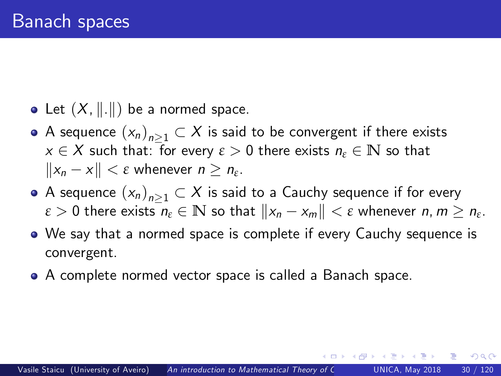- Let  $(X, \| \|)$  be a normed space.
- A sequence  $(x_n)_{n\geq1}\subset X$  is said to be convergent if there exists  $x \in X$  such that: for every  $\varepsilon > 0$  there exists  $n_{\varepsilon} \in \mathbb{N}$  so that  $||x_n - x|| < \varepsilon$  whenever  $n \geq n_{\varepsilon}$ .
- A sequence  $(x_n)_{n\geq1}\subset X$  is said to a Cauchy sequence if for every  $\varepsilon > 0$  there exists  $n_{\varepsilon} \in \mathbb{N}$  so that  $||x_n - x_m|| < \varepsilon$  whenever  $n, m \ge n_{\varepsilon}$ .
- We say that a normed space is complete if every Cauchy sequence is convergent.
- A complete normed vector space is called a Banach space.

<span id="page-29-0"></span>つひひ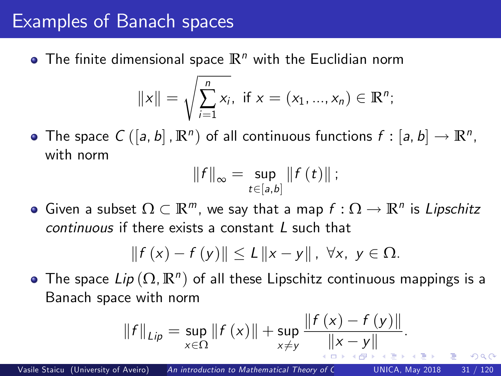## Examples of Banach spaces

 $\bullet$  The finite dimensional space  $\mathbb{R}^n$  with the Euclidian norm

$$
||x|| = \sqrt{\sum_{i=1}^{n} x_i}
$$
, if  $x = (x_1, ..., x_n) \in \mathbb{R}^n$ ;

The space  $C([a, b], \mathbb{R}^n)$  of all continuous functions  $f : [a, b] \to \mathbb{R}^n$ , with norm

<span id="page-30-0"></span>
$$
||f||_{\infty} = \sup_{t \in [a,b]} ||f(t)||;
$$

Given a subset  $\Omega \subset \mathbb{R}^m$ , we say that a map  $f: \Omega \to \mathbb{R}^n$  is Lipschitz continuous if there exists a constant L such that

$$
|| f (x) - f (y)|| \le L ||x - y||, \ \forall x, \ y \in \Omega.
$$

The space  $\mathit{Lip}\left(\Omega,\mathbb{R}^{n}\right)$  of all these  $\mathsf{Lipschitz}$  continuous mappings is a Banach space with norm

$$
||f||_{Lip} = \sup_{x \in \Omega} ||f(x)|| + \sup_{x \neq y} \frac{||f(x) - f(y)||}{||x - y||}.
$$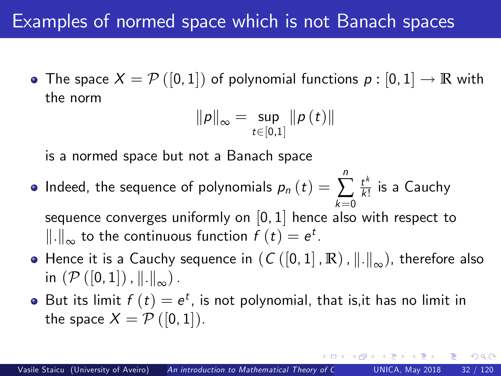# Examples of normed space which is not Banach spaces

• The space  $X = \mathcal{P}([0,1])$  of polynomial functions  $p : [0,1] \to \mathbb{R}$  with the norm

$$
\|\rho\|_{\infty}=\sup_{t\in[0,1]}\|\rho\left(t\right)\|
$$

is a normed space but not a Banach space

- Indeed, the sequence of polynomials  $\rho_n\left(t\right)=$ n  $\sum\,\frac{t^k}{k!}$  $k=0$  $\frac{t^n}{k!}$  is a Cauchy sequence converges uniformly on  $\left[0,1\right]$  hence also with respect to  $\|\. \|_{\infty}$  to the continuous function  $f(t) = e^t$ .
- **•** Hence it is a Cauchy sequence in  $(C([0, 1], \mathbb{R}), ||.||_{\infty})$ , therefore also in  $(\mathcal{P}([0,1])$ ,  $\|\cdot\|_{\infty})$ .
- But its limit  $f(t) = e^t$ , is not polynomial, that is,it has no limit in the space  $X = \mathcal{P}([0,1])$ .

<span id="page-31-0"></span> $200$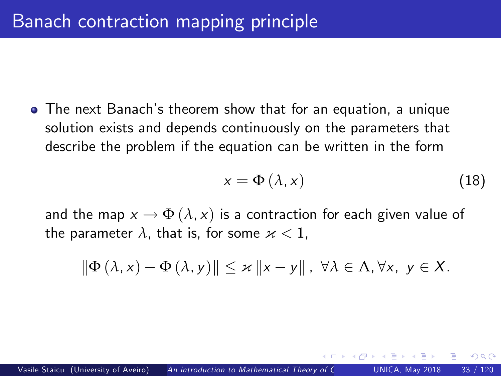**•** The next Banach's theorem show that for an equation, a unique solution exists and depends continuously on the parameters that describe the problem if the equation can be written in the form

<span id="page-32-0"></span>
$$
x = \Phi\left(\lambda, x\right) \tag{18}
$$

and the map  $x \to \Phi(\lambda, x)$  is a contraction for each given value of the parameter  $\lambda$ , that is, for some  ${\varkappa} < 1$ ,

$$
\|\Phi(\lambda,x)-\Phi(\lambda,y)\|\leq\varkappa\|x-y\|,\,\,\forall\lambda\in\Lambda,\forall x,\,\,y\in X.
$$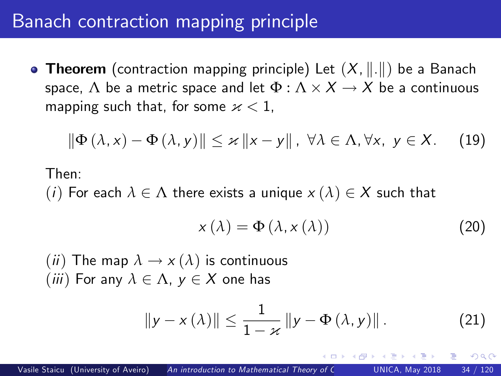## Banach contraction mapping principle

**• Theorem** (contraction mapping principle) Let  $(X, \|\cdot\|)$  be a Banach space,  $\Lambda$  be a metric space and let  $\Phi : \Lambda \times X \rightarrow X$  be a continuous mapping such that, for some  $x < 1$ ,

$$
\|\Phi(\lambda,x)-\Phi(\lambda,y)\|\leq\varkappa\|x-y\|,\,\,\forall\lambda\in\Lambda,\forall x,\,\,y\in X.\qquad(19)
$$

Then:

(i) For each  $\lambda \in \Lambda$  there exists a unique  $x(\lambda) \in X$  such that

<span id="page-33-0"></span>
$$
x(\lambda) = \Phi(\lambda, x(\lambda))
$$
 (20)

<span id="page-33-1"></span>つひひ

(*ii*) The map  $\lambda \to x(\lambda)$  is continuous (*iii*) For any  $\lambda \in \Lambda$ ,  $y \in X$  one has

$$
\|y - x(\lambda)\| \le \frac{1}{1 - x} \|y - \Phi(\lambda, y)\|.
$$
 (21)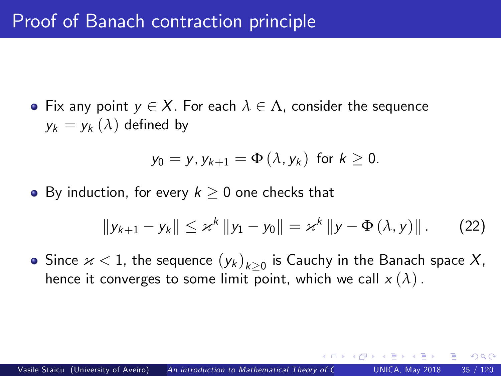**•** Fix any point  $y \in X$ . For each  $\lambda \in \Lambda$ , consider the sequence  $y_k = y_k(\lambda)$  defined by

$$
y_0 = y, y_{k+1} = \Phi(\lambda, y_k) \text{ for } k \geq 0.
$$

• By induction, for every  $k \geq 0$  one checks that

$$
||y_{k+1} - y_k|| \leq x^k ||y_1 - y_0|| = x^k ||y - \Phi(\lambda, y)||. \qquad (22)
$$

 $\Omega$ 

Since  $\varkappa < 1$ , the sequence  $(y_k)_{k\geq 0}$  is Cauchy in the Banach space  $X$ , hence it converges to some limit point, which we call  $x(\lambda)$ .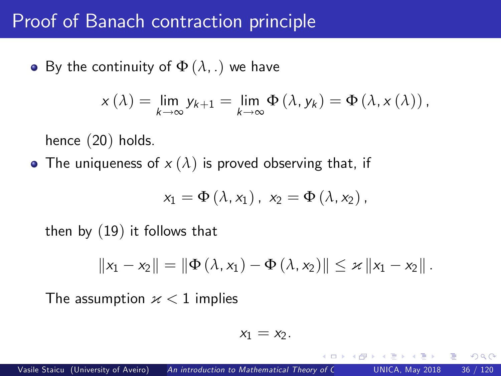#### Proof of Banach contraction principle

• By the continuity of  $\Phi(\lambda, .)$  we have

$$
x(\lambda) = \lim_{k \to \infty} y_{k+1} = \lim_{k \to \infty} \Phi(\lambda, y_k) = \Phi(\lambda, x(\lambda)),
$$

hence ([20](#page-33-0)) holds.

• The uniqueness of  $x(\lambda)$  is proved observing that, if

$$
x_1 = \Phi\left(\lambda, x_1\right), x_2 = \Phi\left(\lambda, x_2\right),
$$

then by ([19](#page-33-1)) it follows that

$$
||x_1 - x_2|| = ||\Phi(\lambda, x_1) - \Phi(\lambda, x_2)|| \leq \varkappa ||x_1 - x_2||.
$$

The assumption  $x < 1$  implies

$$
x_1=x_2.
$$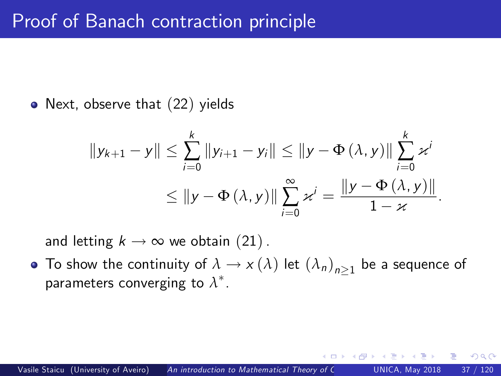• Next, observe that ([22](#page-34-0)) yields

$$
||y_{k+1} - y|| \le \sum_{i=0}^{k} ||y_{i+1} - y_i|| \le ||y - \Phi(\lambda, y)|| \sum_{i=0}^{k} x^{i}
$$
  

$$
\le ||y - \Phi(\lambda, y)|| \sum_{i=0}^{\infty} x^{i} = \frac{||y - \Phi(\lambda, y)||}{1 - x}.
$$

and letting  $k \to \infty$  we obtain ([21](#page-33-0)).

To show the continuity of  $\lambda \to \chi(\lambda)$  let  ${(\lambda_n)}_{n\geq 1}$  be a sequence of parameters converging to  $\lambda^*.$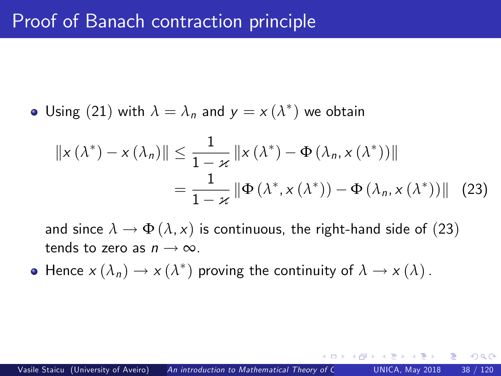• Using (21) with 
$$
\lambda = \lambda_n
$$
 and  $y = x(\lambda^*)$  we obtain

<span id="page-37-0"></span>
$$
\|x(\lambda^*) - x(\lambda_n)\| \le \frac{1}{1 - x} \|x(\lambda^*) - \Phi(\lambda_n, x(\lambda^*))\|
$$
  
= 
$$
\frac{1}{1 - x} \|\Phi(\lambda^*, x(\lambda^*)) - \Phi(\lambda_n, x(\lambda^*))\|
$$
 (23)

and since  $\lambda \to \Phi(\lambda, x)$  is continuous, the right-hand side of ([23](#page-37-0)) tends to zero as  $n \to \infty$ .

Hence  $x(\lambda_n) \to x(\lambda^*)$  proving the continuity of  $\lambda \to x(\lambda)$ .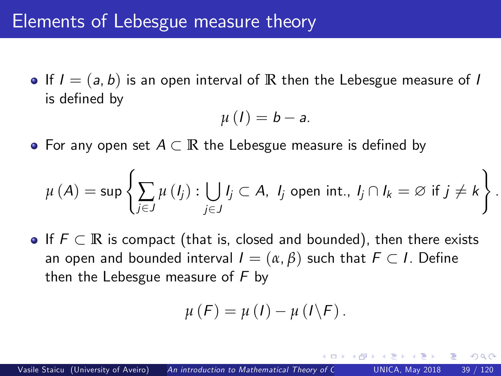$\bullet$  If  $I = (a, b)$  is an open interval of  $\mathbb R$  then the Lebesgue measure of I is defined by

$$
\mu(I)=b-a.
$$

• For any open set  $A \subset \mathbb{R}$  the Lebesgue measure is defined by

$$
\mu(A) = \sup \left\{ \sum_{j \in J} \mu(I_j) : \bigcup_{j \in J} I_j \subset A, \ I_j \text{ open int.}, \ I_j \cap I_k = \varnothing \text{ if } j \neq k \right\}
$$

.

<span id="page-38-0"></span> $\Omega$ 

 $\bullet$  If  $F \subset \mathbb{R}$  is compact (that is, closed and bounded), then there exists an open and bounded interval  $I = (\alpha, \beta)$  such that  $F \subset I$ . Define then the Lebesgue measure of  $F$  by

$$
\mu(F) = \mu(I) - \mu(I\backslash F).
$$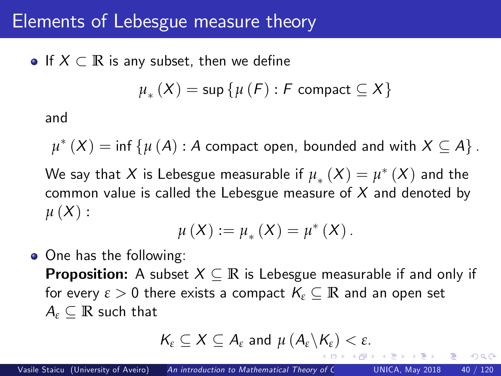$\bullet$  If  $X \subset \mathbb{R}$  is any subset, then we define

$$
\mu_{*}\left(X\right)=\sup\left\{ \mu\left(F\right):F\text{ compact }\subseteq X\right\}
$$

and

 $\mu^*\left( X \right) = \inf \left\{ {\mu \left( A \right):A\textrm{ compact open, bounded and with }X\subseteq A} \right\}.$ We say that  $X$  is Lebesgue measurable if  $\mu_*(X) = \mu^*(X)$  and the common value is called the Lebesgue measure of  $X$  and denoted by  $\mu(X):$ 

$$
\mu(X) := \mu_{*}(X) = \mu^{*}(X).
$$

 $\bullet$  One has the following: **Proposition:** A subset  $X \subseteq \mathbb{R}$  is Lebesgue measurable if and only if for every  $\varepsilon > 0$  there exists a compact  $K_{\varepsilon} \subseteq \mathbb{R}$  and an open set  $A_{\varepsilon} \subset \mathbb{R}$  such that

<span id="page-39-0"></span>
$$
K_{\varepsilon} \subseteq X \subseteq A_{\varepsilon} \text{ and } \mu (A_{\varepsilon} \backslash K_{\varepsilon}) < \varepsilon.
$$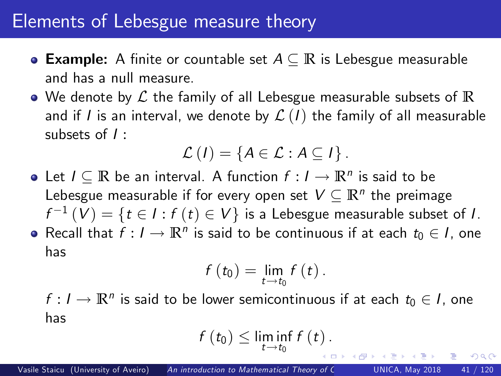- **Example:** A finite or countable set  $A \subseteq \mathbb{R}$  is Lebesgue measurable and has a null measure.
- We denote by L the family of all Lebesgue measurable subsets of **R** and if I is an interval, we denote by  $\mathcal{L}(I)$  the family of all measurable subsets of I :

$$
\mathcal{L}(I) = \{A \in \mathcal{L} : A \subseteq I\}.
$$

Let  $I \subseteq \mathbb{R}$  be an interval. A function  $f : I \to \mathbb{R}^n$  is said to be Lebesgue measurable if for every open set  $V \subseteq \mathbb{R}^n$  the preimage  $f^{-1}\left(V\right)=\left\{ t\in I:f\left(t\right)\in V\right\}$  is a Lebesgue measurable subset of  $I.$ Recall that  $f: I \to \mathbb{R}^n$  is said to be continuous if at each  $t_0 \in I$ , one has

$$
f(t_0)=\lim_{t\to t_0}f(t).
$$

 $f: I \to \mathbb{R}^n$  is said to be lower semicontinuous if at each  $t_0 \in I$ , one has

$$
f(t_0)\leq \liminf_{t\to t_0}f(t).
$$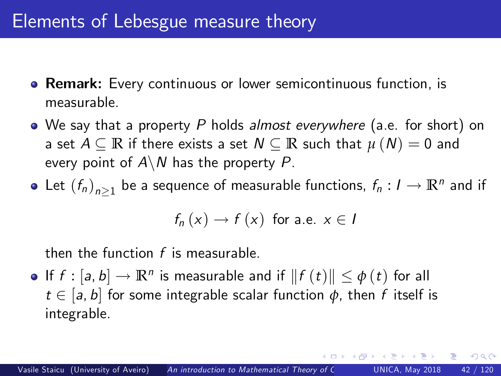- **Remark:** Every continuous or lower semicontinuous function, is measurable.
- We say that a property P holds almost everywhere (a.e. for short) on a set  $A \subseteq \mathbb{R}$  if there exists a set  $N \subseteq \mathbb{R}$  such that  $\mu(N) = 0$  and every point of  $A \backslash N$  has the property P.
- Let  $(f_n)_{n\geq1}$  be a sequence of measurable functions,  $f_n: I \to \mathbb{R}^n$  and if

$$
f_n(x) \to f(x)
$$
 for a.e.  $x \in I$ 

then the function  $f$  is measurable.

If  $f : [a, b] \rightarrow \mathbb{R}^n$  is measurable and if  $|| f(t)|| \leq \phi(t)$  for all  $t \in [a, b]$  for some integrable scalar function  $\phi$ , then f itself is integrable.

 $200$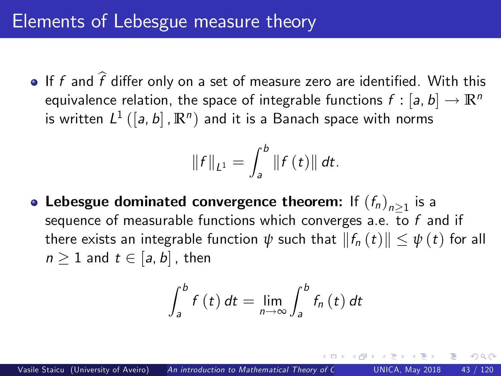If f and  $\widehat{f}$  differ only on a set of measure zero are identified. With this equivalence relation, the space of integrable functions  $f : [a, b] \rightarrow \mathbb{R}^n$ is written  $L^{1}\left(\left[a,b\right],\mathbb{R}^{n}\right)$  and it is a Banach space with norms

$$
||f||_{L^{1}} = \int_{a}^{b} ||f(t)|| dt.
$$

Lebesgue dominated convergence theorem: If  $(f_n)_{n\geq 1}$  is a sequence of measurable functions which converges a.e. to  $f$  and if there exists an integrable function  $\psi$  such that  $||f_n(t)|| \leq \psi(t)$  for all  $n \geq 1$  and  $t \in [a, b]$ , then

$$
\int_{a}^{b} f(t) dt = \lim_{n \to \infty} \int_{a}^{b} f_n(t) dt
$$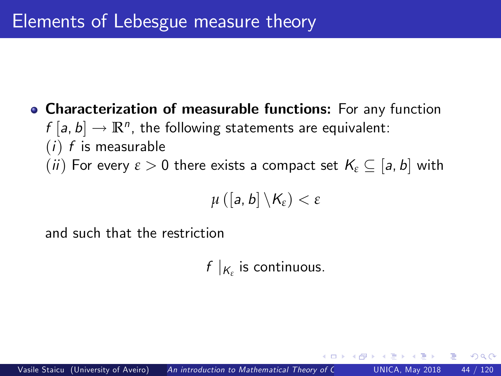## Characterization of measurable functions: For any function  $f[a, b] \to \mathbb{R}^n$ , the following statements are equivalent:  $(i)$  f is measurable (ii) For every  $\varepsilon > 0$  there exists a compact set  $K_{\varepsilon} \subset [a, b]$  with

$$
\mu\left(\left[a,b\right]\backslash\mathcal{K}_{\varepsilon}\right)<\varepsilon
$$

and such that the restriction

 $f|_{K_{\varepsilon}}$  is continuous.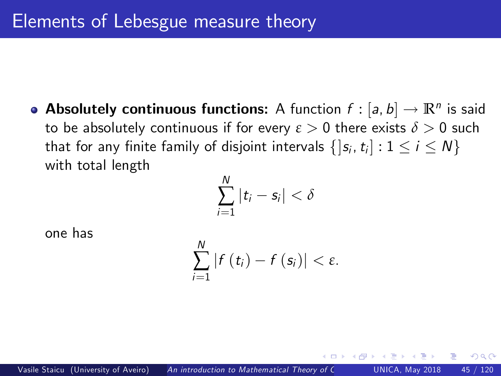**Absolutely continuous functions:** A function  $f : [a, b] \rightarrow \mathbb{R}^n$  is said to be absolutely continuous if for every  $\varepsilon > 0$  there exists  $\delta > 0$  such that for any finite family of disjoint intervals  $\{ |s_i, t_i| : 1 \le i \le N \}$ with total length

$$
\sum_{i=1}^N |t_i - s_i| < \delta
$$

one has

$$
\sum_{i=1}^N |f(t_i)-f(s_i)|<\varepsilon.
$$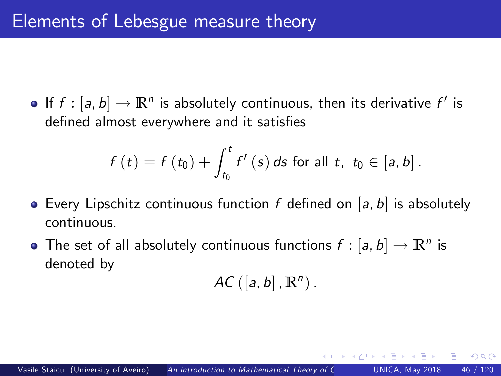If  $f : [a, b] \to \mathbb{R}^n$  is absolutely continuous, then its derivative  $f'$  is defined almost everywhere and it satisfies

$$
f(t) = f(t_0) + \int_{t_0}^{t} f'(s) \, ds \text{ for all } t, \, t_0 \in [a, b].
$$

- **•** Every Lipschitz continuous function f defined on [a, b] is absolutely continuous.
- The set of all absolutely continuous functions  $f : [a, b] \rightarrow \mathbb{R}^n$  is denoted by

$$
AC\left([a,b],\mathbb{R}^n\right).
$$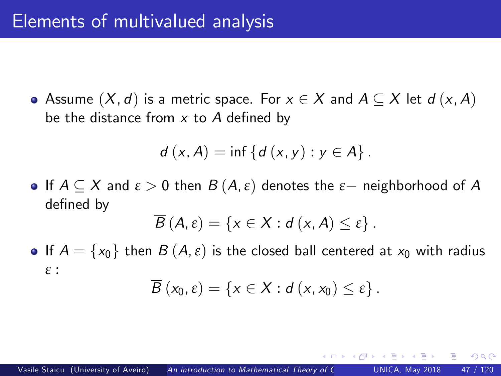$\bullet$  Assume  $(X, d)$  is a metric space. For  $x \in X$  and  $A \subseteq X$  let  $d(x, A)$ be the distance from  $x$  to  $A$  defined by

$$
d(x, A) = inf \{d(x, y) : y \in A\}.
$$

**•** If  $A \subseteq X$  and  $\varepsilon > 0$  then  $B(A, \varepsilon)$  denotes the  $\varepsilon$  - neighborhood of A defined by

$$
\overline{B}(A,\varepsilon)=\left\{x\in X:d(x,A)\leq\varepsilon\right\}.
$$

**If**  $A = \{x_0\}$  then  $B(A, \varepsilon)$  is the closed ball centered at  $x_0$  with radius *ε* :

$$
\overline{B}(x_0,\varepsilon)=\left\{x\in X:d(x,x_0)\leq \varepsilon\right\}.
$$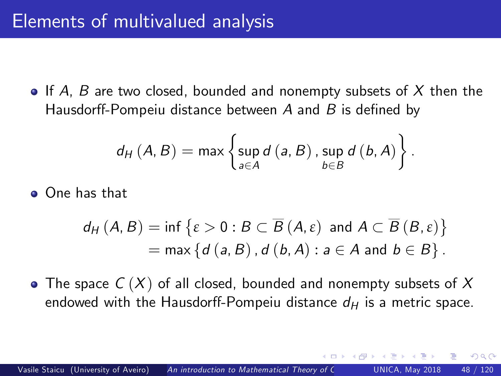$\bullet$  If A, B are two closed, bounded and nonempty subsets of X then the Hausdorff-Pompeiu distance between  $A$  and  $B$  is defined by

$$
d_{H}(A, B) = \max \left\{ \sup_{a \in A} d(a, B), \sup_{b \in B} d(b, A) \right\}.
$$

One has that

$$
d_H(A, B) = \inf \{ \varepsilon > 0 : B \subset \overline{B}(A, \varepsilon) \text{ and } A \subset \overline{B}(B, \varepsilon) \}
$$
  
= max \{ d(a, B), d(b, A) : a \in A \text{ and } b \in B \}.

• The space  $C(X)$  of all closed, bounded and nonempty subsets of X endowed with the Hausdorff-Pompeiu distance  $d_H$  is a metric space.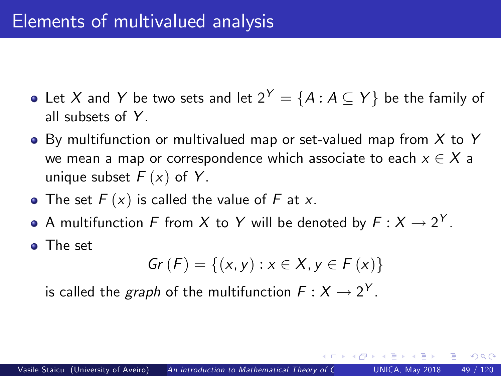- Let X and Y be two sets and let  $2^Y = \{A : A \subseteq Y\}$  be the family of all subsets of  $Y$ .
- $\bullet$  By multifunction or multivalued map or set-valued map from  $X$  to Y we mean a map or correspondence which associate to each  $x \in X$  a unique subset  $F(x)$  of Y.
- The set  $F(x)$  is called the value of F at x.
- A multifunction F from X to Y will be denoted by  $F: X \to 2^Y$ .
- **o** The set

$$
Gr (F) = \{ (x, y) : x \in X, y \in F (x) \}
$$

is called the *graph* of the multifunction  $F: X \rightarrow 2^Y$ .

 $200$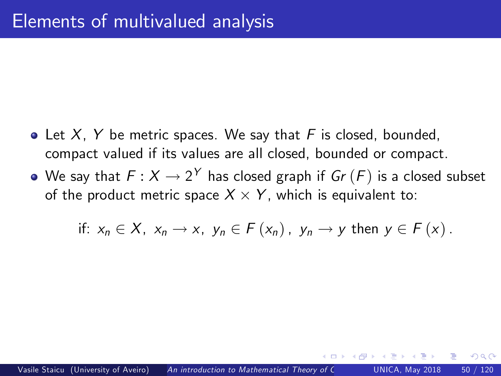- Let  $X$ , Y be metric spaces. We say that F is closed, bounded, compact valued if its values are all closed, bounded or compact.
- We say that  $F: X \to 2^Y$  has closed graph if  $Gr(F)$  is a closed subset of the product metric space  $X \times Y$ , which is equivalent to:

if: 
$$
x_n \in X
$$
,  $x_n \to x$ ,  $y_n \in F(x_n)$ ,  $y_n \to y$  then  $y \in F(x)$ .

つひひ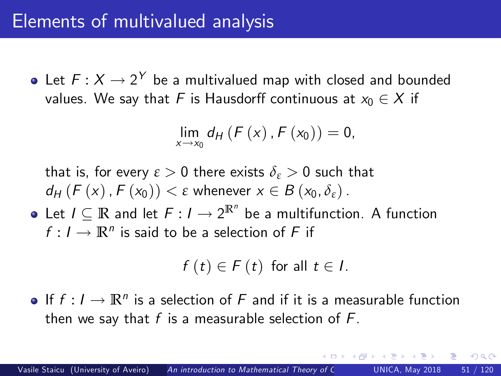Let  $F: X \to 2^Y$  be a multivalued map with closed and bounded values. We say that F is Hausdorff continuous at  $x_0 \in X$  if

$$
\lim_{x \to x_0} d_{H}(F(x), F(x_0)) = 0,
$$

that is, for every  $\varepsilon > 0$  there exists  $\delta_{\varepsilon} > 0$  such that  $d_H$  (F (x),  $F(x_0)$ )  $\lt \varepsilon$  whenever  $x \in B(x_0, \delta_{\varepsilon})$ .

Let  $I \subseteq \mathbb{R}$  and let  $F: I \to 2^{\mathbb{R}^n}$  be a multifunction. A function  $f: I \to \mathbb{R}^n$  is said to be a selection of F if

$$
f(t) \in F(t) \text{ for all } t \in I.
$$

If  $f: I \to \mathbb{R}^n$  is a selection of F and if it is a measurable function then we say that  $f$  is a measurable selection of  $F$ .

つひひ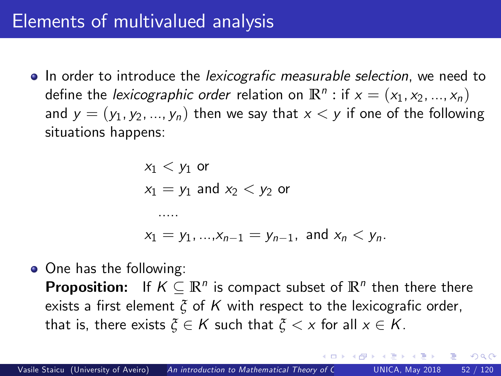## Elements of multivalued analysis

 $\bullet$  In order to introduce the *lexicografic measurable selection*, we need to define the *lexicographic order r*elation on  $\mathbb{R}^n$  : if  $x = (x_1, x_2, ..., x_n)$ and  $y = (y_1, y_2, ..., y_n)$  then we say that  $x < y$  if one of the following situations happens:

$$
x_1 < y_1
$$
 or  
\n $x_1 = y_1$  and  $x_2 < y_2$  or  
\n......  
\n $x_1 = y_1, ..., x_{n-1} = y_{n-1}$ , and  $x_n < y_n$ .

• One has the following: **Proposition:** If  $K \subseteq \mathbb{R}^n$  is compact subset of  $\mathbb{R}^n$  then there there exists a first element  $\zeta$  of K with respect to the lexicografic order, that is, there exists  $\zeta \in K$  such that  $\zeta \leq x$  for all  $x \in K$ .

 $200$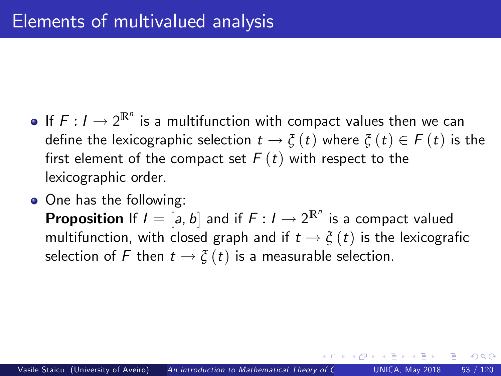- If  $F: I \to 2^{\mathbb{R}^n}$  is a multifunction with compact values then we can define the lexicographic selection  $t \rightarrow \xi(t)$  where  $\xi(t) \in F(t)$  is the first element of the compact set  $F(t)$  with respect to the lexicographic order.
- One has the following:

**Proposition** If  $I = [a, b]$  and if  $F : I \rightarrow 2^{\mathbb{R}^n}$  is a compact valued multifunction, with closed graph and if  $t \to \xi(t)$  is the lexicografic selection of F then  $t \to \xi(t)$  is a measurable selection.

<span id="page-52-0"></span>つへへ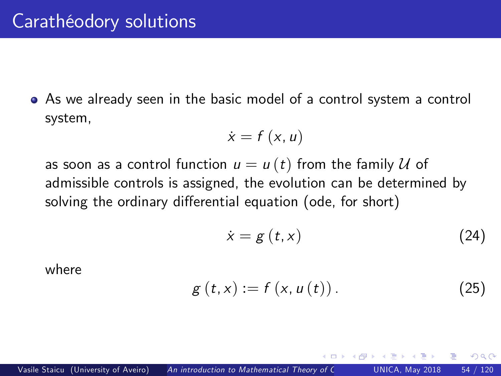As we already seen in the basic model of a control system a control system,

$$
\dot{x}=f\left(x,u\right)
$$

as soon as a control function  $u = u(t)$  from the family  $U$  of admissible controls is assigned, the evolution can be determined by solving the ordinary differential equation (ode, for short)

<span id="page-53-1"></span><span id="page-53-0"></span>
$$
\dot{x} = g(t, x) \tag{24}
$$

<span id="page-53-2"></span> $\Omega$ 

where

$$
g(t, x) := f(x, u(t)).
$$
 (25)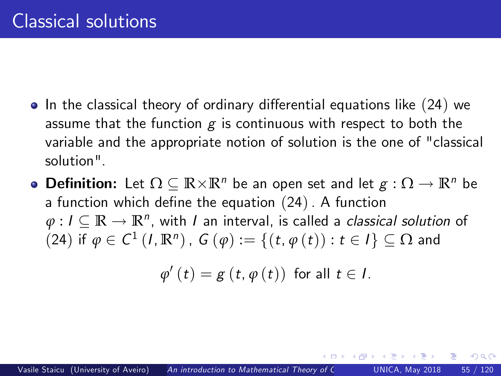- $\bullet$  In the classical theory of ordinary differential equations like ([24](#page-53-0)) we assume that the function  $g$  is continuous with respect to both the variable and the appropriate notion of solution is the one of "classical solution".
- **Definition:** Let  $\Omega \subseteq \mathbb{R} \times \mathbb{R}^n$  be an open set and let  $g : \Omega \to \mathbb{R}^n$  be a function which define the equation  $(24)$  $(24)$  $(24)$ . A function  $\varphi: I \subseteq \mathbb{R} \to \mathbb{R}^n$ , with I an interval, is called a *classical solution* of ([24](#page-53-0)) if  $\phi$  ∈ *C*<sup>1</sup> (*I*, **R**<sup>n</sup>), *G* (*ϕ*) := {(*t*, *ϕ* (*t*)) : *t* ∈ *I*} ⊆ Ω and

$$
\varphi'(t) = g(t, \varphi(t)) \text{ for all } t \in I.
$$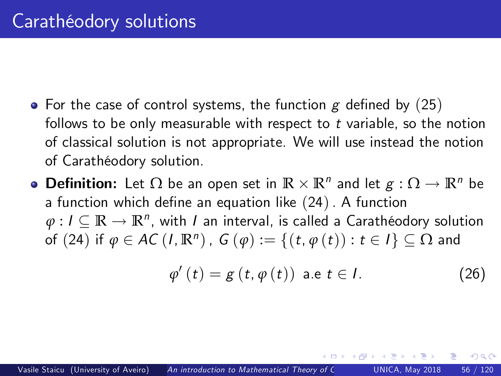- For the case of control systems, the function  $g$  defined by ([25](#page-53-1)) follows to be only measurable with respect to  $t$  variable, so the notion of classical solution is not appropriate. We will use instead the notion of Carathéodory solution.
- **Definition:** Let  $\Omega$  be an open set in  $\mathbb{R} \times \mathbb{R}^n$  and let  $g : \Omega \to \mathbb{R}^n$  be a function which define an equation like  $(24)$  $(24)$  $(24)$ . A function  $\varphi: I \subseteq \mathbb{R} \to \mathbb{R}^n$ , with I an interval, is called a Carathéodory solution of ([24](#page-53-0)) if  $\varphi \in AC$  (*I*,  $\mathbb{R}^n)$ ,  $G(\varphi) := \{(t, \varphi(t)) : t \in I\} \subseteq \Omega$  and

$$
\varphi'(t) = g(t, \varphi(t)) \text{ a.e } t \in I. \tag{26}
$$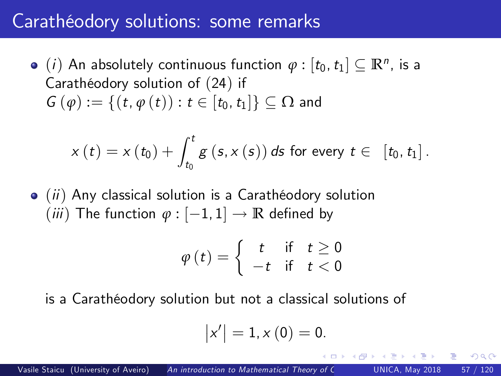## Carathéodory solutions: some remarks

(*i*) An absolutely continuous function  $\varphi : [t_0, t_1] \subseteq \mathbb{R}^n$ , is a Carathéodory solution of ([24](#page-53-0)) if  $G(\varphi) := \{(t, \varphi(t)) : t \in [t_0, t_1]\} \subset \Omega$  and

$$
x(t) = x(t_0) + \int_{t_0}^t g(s, x(s)) ds \text{ for every } t \in [t_0, t_1].
$$

 $\bullet$  (ii) Any classical solution is a Carathéodory solution  $(iii)$  The function  $\varphi : [-1, 1] \rightarrow \mathbb{R}$  defined by

$$
\varphi(t) = \begin{cases} t & \text{if } t \ge 0 \\ -t & \text{if } t < 0 \end{cases}
$$

is a Carathéodory solution but not a classical solutions of

$$
\left\vert x^{\prime}\right\vert =1,x\left( 0\right) =0.
$$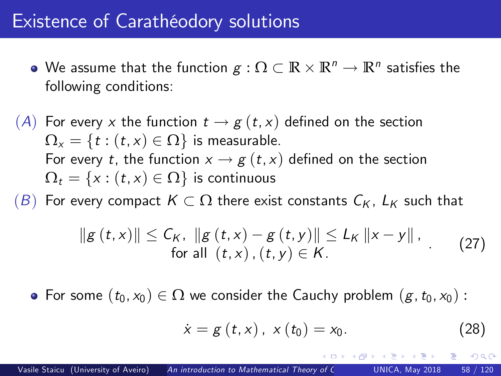#### Existence of Carathéodory solutions

- We assume that the function  $g: \Omega \subset \mathbb{R} \times \mathbb{R}^n \to \mathbb{R}^n$  satisfies the following conditions:
- (A) For every x the function  $t \to g(t, x)$  defined on the section  $\Omega_{x} = \{t : (t, x) \in \Omega\}$  is measurable. For every t, the function  $x \rightarrow g(t, x)$  defined on the section  $\Omega_t = \{x : (t, x) \in \Omega\}$  is continuous

 $(B)$  For every compact  $K \subset \Omega$  there exist constants  $C_K$ ,  $L_K$  such that

$$
||g(t,x)|| \le C_K, ||g(t,x) - g(t,y)|| \le L_K ||x - y||,
$$
  
for all  $(t,x)$ ,  $(t,y) \in K$ . (27)

• For some  $(t_0, x_0) \in \Omega$  we consider the Cauchy problem  $(g, t_0, x_0)$ :

$$
\dot{x} = g(t, x), \; x(t_0) = x_0. \tag{28}
$$

<span id="page-57-0"></span>つへへ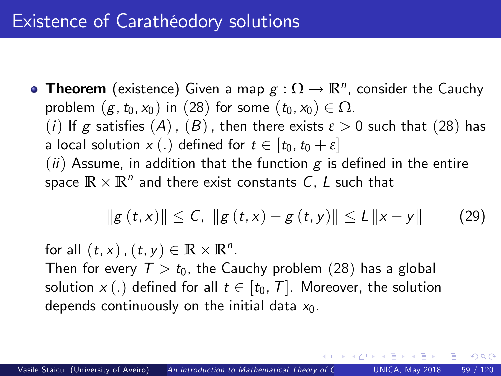**Theorem** (existence) Given a map  $g : \Omega \to \mathbb{R}^n$ , consider the Cauchy problem  $(g, t_0, x_0)$  in ([28](#page-57-0)) for some  $(t_0, x_0) \in \Omega$ . (i) If g satisfies  $(A)$ ,  $(B)$ , then there exists  $\varepsilon > 0$  such that ([28](#page-57-0)) has a local solution  $x(.)$  defined for  $t \in [t_0, t_0 + \varepsilon]$  $(ii)$  Assume, in addition that the function g is defined in the entire space  $\mathbb{R} \times \mathbb{R}^n$  and there exist constants  $\mathcal{C}$ ,  $\mathcal{L}$  such that

$$
||g(t,x)|| \le C, ||g(t,x) - g(t,y)|| \le L ||x - y|| \qquad (29)
$$

<span id="page-58-0"></span> $200$ 

for all  $(t, x)$  ,  $(t, y) \in \mathbb{R} \times \mathbb{R}^n$ .

Then for every  $T > t_0$ , the Cauchy problem ([28](#page-57-0)) has a global solution  $x(.)$  defined for all  $t \in [t_0, T]$ . Moreover, the solution depends continuously on the initial data  $x_0$ .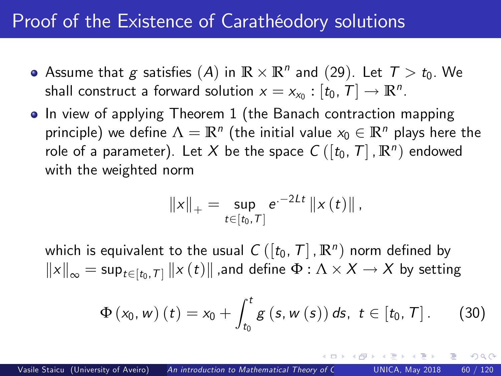## Proof of the Existence of Carathéodory solutions

- Assume that g satisfies  $(A)$  in  $\mathbb{R} \times \mathbb{R}^n$  and  $(29)$  $(29)$  $(29)$ . Let  $T > t_0$ . We shall construct a forward solution  $x = x_{x_0} : [t_0, T] \rightarrow \mathbb{R}^n$ .
- In view of applying Theorem 1 (the Banach contraction mapping principle) we define  $\Lambda = \mathbb{R}^n$  (the initial value  $x_0 \in \mathbb{R}^n$  plays here the role of a parameter). Let  $X$  be the space  $\mathcal{C}\left( \left[ t_0,\,T \right],\mathbb{R}^n \right)$  endowed with the weighted norm

<span id="page-59-0"></span>
$$
||x||_{+} = \sup_{t \in [t_0, T]} e^{-2Lt} ||x(t)||,
$$

which is equivalent to the usual  $\mathcal{C}\left([t_0,\,\mathcal{T}]\, , \mathbb{R}^n \right)$  norm defined by  $\left\| x \right\|_\infty = \sup_{t \in [t_0,\mathcal{T}]} \left\| x \left( t \right) \right\|$  ,and define  $\Phi : \Lambda \times X \rightarrow X$  by setting

$$
\Phi(x_0, w) (t) = x_0 + \int_{t_0}^t g(s, w(s)) ds, t \in [t_0, T].
$$
 (30)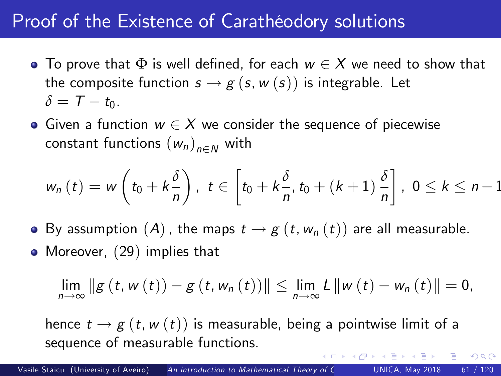## Proof of the Existence of Carathéodory solutions

- To prove that  $\Phi$  is well defined, for each  $w \in X$  we need to show that the composite function  $s \rightarrow g$   $(s, w(s))$  is integrable. Let  $\delta = \mathcal{T} - t_0$ .
- Given a function  $w \in X$  we consider the sequence of piecewise constant functions  $(w_n)_{n\in\mathbb{N}}$  with

$$
w_n(t) = w\left(t_0 + k\frac{\delta}{n}\right), t \in \left[t_0 + k\frac{\delta}{n}, t_0 + (k+1)\frac{\delta}{n}\right], 0 \leq k \leq n-1
$$

- By assumption  $(A)$ , the maps  $t \to g(t, w_n (t))$  are all measurable.
- Moreover, ([29](#page-58-0)) implies that

$$
\lim_{n\to\infty}||g(t, w(t))-g(t, w_n(t))||\leq \lim_{n\to\infty}L||w(t)-w_n(t)||=0,
$$

 $\Omega$ 

hence  $t \rightarrow g(t, w(t))$  is measurable, being a pointwise limit of a sequence of measurable functions.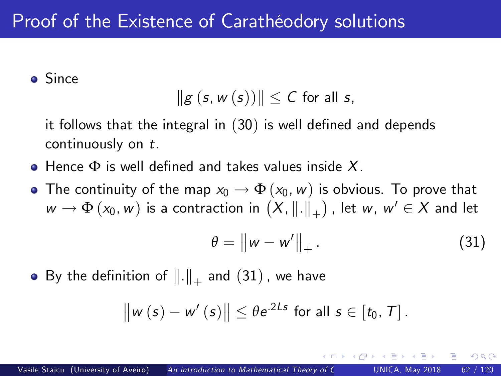Since

$$
\|g\left(s,w\left(s\right)\right)\|\leq C\text{ for all }s,
$$

it follows that the integral in  $(30)$  $(30)$  $(30)$  is well defined and depends continuously on t.

- $\bullet$  Hence  $\Phi$  is well defined and takes values inside X.
- The continuity of the map  $x_0 \to \Phi(x_0,w)$  is obvious. To prove that  $w \to \Phi(x_0, w)$  is a contraction in  $(X, \|.\|_+)$  , let  $w, w' \in X$  and let

<span id="page-61-0"></span>
$$
\theta = \left\| w - w' \right\|_{+}.
$$
 (31)

 $\Omega$ 

By the definition of  $\|.\|_+$  and  $(31)$  $(31)$  $(31)$  , we have

$$
\|w(s)-w'(s)\| \leq \theta e^{2Ls} \text{ for all } s\in [t_0, T].
$$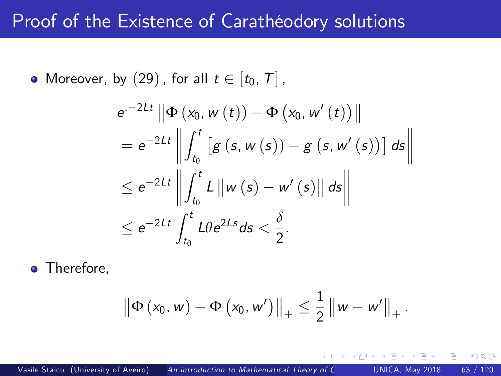### Proof of the Existence of Carathéodory solutions

• Moreover, by ([29](#page-58-0)), for all  $t \in [t_0, T]$ ,

$$
e^{-2Lt} \|\Phi(x_0, w(t)) - \Phi(x_0, w'(t))\|
$$
  
=  $e^{-2Lt} \left\| \int_{t_0}^t \left[ g(s, w(s)) - g(s, w'(s)) \right] ds \right\|$   
 $\leq e^{-2Lt} \left\| \int_{t_0}^t L \left\| w(s) - w'(s) \right\| ds \right\|$   
 $\leq e^{-2Lt} \int_{t_0}^t L \theta e^{2Ls} ds < \frac{\delta}{2}.$ 

• Therefore,

$$
\|\Phi(x_0, w) - \Phi(x_0, w')\|_+\leq \frac{1}{2} \|w - w'\|_+.
$$

 $-1$   $-1$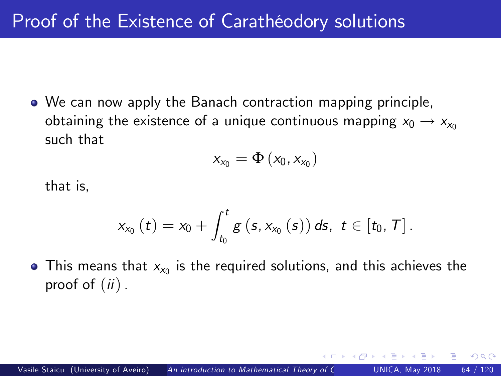We can now apply the Banach contraction mapping principle, obtaining the existence of a unique continuous mapping  $x_0 \rightarrow x_{x_0}$ such that

$$
x_{x_0} = \Phi\left(x_0, x_{x_0}\right)
$$

that is,

$$
x_{x_{0}}\left(t\right)=x_{0}+\int_{t_{0}}^{t}g\left(s,x_{x_{0}}\left(s\right)\right)ds,\:\:t\in\left[t_{0},\thinspace\mathcal{T}\right].
$$

This means that  $x_{x_0}$  is the required solutions, and this achieves the proof of  $(ii)$ .

つひい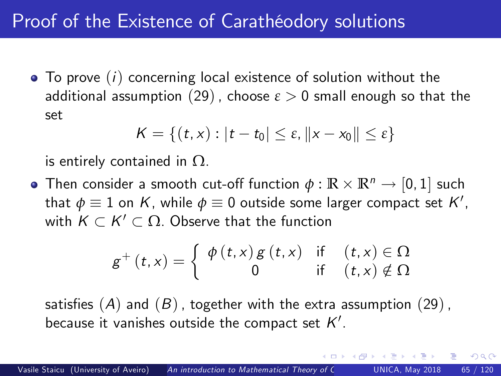# Proof of the Existence of Carathéodory solutions

 $\bullet$  To prove  $(i)$  concerning local existence of solution without the additional assumption ([29](#page-58-0)), choose  $\varepsilon > 0$  small enough so that the set

$$
K = \{(t,x): |t-t_0| \leq \varepsilon, ||x-x_0|| \leq \varepsilon\}
$$

is entirely contained in  $\Omega$ .

Then consider a smooth cut-off function  $\phi : \mathbb{R} \times \mathbb{R}^n \to [0, 1]$  such that  $\phi \equiv 1$  on K, while  $\phi \equiv 0$  outside some larger compact set K', with  $K \subset K' \subset \Omega$ . Observe that the function

$$
g^{+}(t,x) = \begin{cases} \phi(t,x) g(t,x) & \text{if } (t,x) \in \Omega \\ 0 & \text{if } (t,x) \notin \Omega \end{cases}
$$

satisfies  $(A)$  and  $(B)$ , together with the extra assumption  $(29)$  $(29)$  $(29)$ , because it vanishes outside the compact set  $\mathcal{K}'.$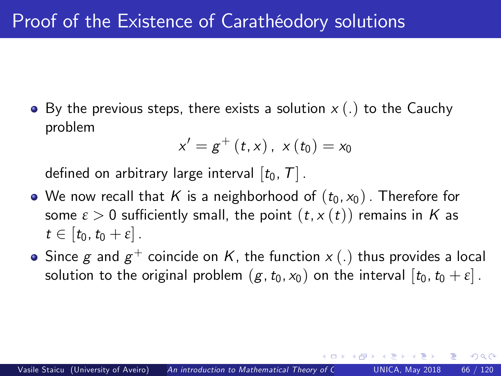• By the previous steps, there exists a solution  $x(.)$  to the Cauchy problem

<span id="page-65-0"></span>
$$
x'=g^+\left(t,x\right),\,\,x\left(t_0\right)=x_0
$$

defined on arbitrary large interval  $[t_0, T]$ .

- We now recall that K is a neighborhood of  $(t_0, x_0)$ . Therefore for some  $\varepsilon > 0$  sufficiently small, the point  $(t, x(t))$  remains in K as  $t \in [t_0,t_0 + \varepsilon]$ .
- Since  $\pmb g$  and  $\pmb g^+$  coincide on  $\pmb K,$  the function  $\pmb x\left(.\right)$  thus provides a local solution to the original problem  $(g, t_0, x_0)$  on the interval  $[t_0, t_0 + \varepsilon]$ .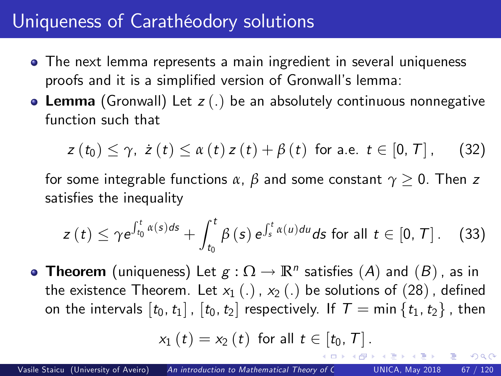# Uniqueness of Carathéodory solutions

- The next lemma represents a main ingredient in several uniqueness proofs and it is a simplified version of Gronwall's lemma:
- Lemma (Gronwall) Let  $z(.)$  be an absolutely continuous nonnegative function such that

$$
z(t_0) \leq \gamma, \ z(t) \leq \alpha(t) z(t) + \beta(t) \ \text{for a.e.} \ t \in [0, T], \qquad (32)
$$

for some integrable functions  $\alpha$ ,  $\beta$  and some constant  $\gamma \geq 0$ . Then *z* satisfies the inequality

$$
z(t) \leq \gamma e^{\int_{t_0}^t \alpha(s)ds} + \int_{t_0}^t \beta(s) e^{\int_s^t \alpha(u)du} ds \text{ for all } t \in [0, T]. \tag{33}
$$

**Theorem** (uniqueness) Let  $g : \Omega \to \mathbb{R}^n$  satisfies  $(A)$  and  $(B)$ , as in the existence Theorem. Let  $x_1(.)$ ,  $x_2(.)$  be solutions of ([28](#page-57-0)), defined on the intervals  $[t_0, t_1]$ ,  $[t_0, t_2]$  respectively. If  $T = \min\{t_1, t_2\}$ , then

$$
x_{1}\left(t\right)=x_{2}\left(t\right) \text{ for all } t\in\left[t_{0}, T\right].
$$

<span id="page-66-0"></span> $200$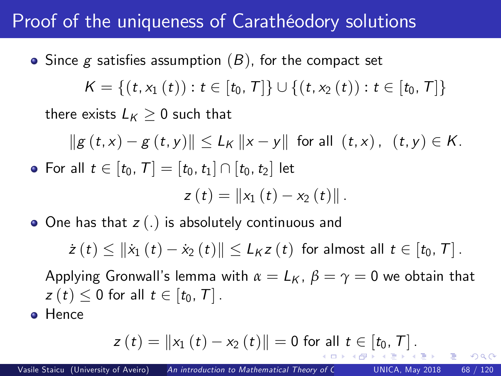# Proof of the uniqueness of Carathéodory solutions

\n- Since 
$$
g
$$
 satisfies assumption  $(B)$ , for the compact set  $K = \{(t, x_1(t)) : t \in [t_0, T]\} \cup \{(t, x_2(t)) : t \in [t_0, T]\}$  there exists  $L_K \geq 0$  such that  $||g(t, x) - g(t, y)|| \leq L_K ||x - y||$  for all  $(t, x)$ ,  $(t, y) \in K$ .
\n- For all  $t \in [t_0, T] = [t_0, t_1] \cap [t_0, t_2]$  let  $z(t) = ||x_1(t) - x_2(t)||$ .
\n

 $\bullet$  One has that  $z(.)$  is absolutely continuous and

 $\dot{z}(t) \leq ||\dot{x}_1(t) - \dot{x}_2(t)|| \leq L_K z(t)$  for almost all  $t \in [t_0, T]$ .

Applying Gronwall's lemma with  $\alpha = L_K$ ,  $\beta = \gamma = 0$  we obtain that  $z(t) \leq 0$  for all  $t \in [t_0, T]$ .

**o** Hence

<span id="page-67-0"></span>
$$
z(t) = ||x_1(t) - x_2(t)|| = 0
$$
 for all  $t \in [t_0, T]$ .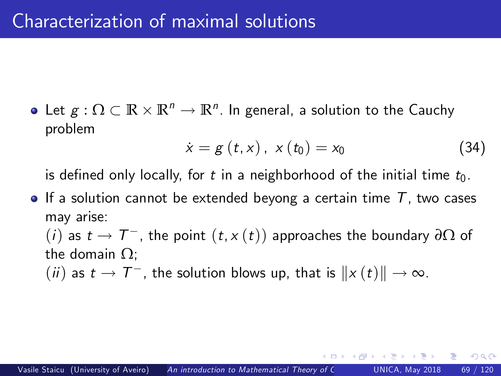Let  $g : \Omega \subset \mathbb{R} \times \mathbb{R}^n \to \mathbb{R}^n$ . In general, a solution to the Cauchy problem

<span id="page-68-1"></span>
$$
\dot{x} = g(t, x), \; x(t_0) = x_0 \tag{34}
$$

<span id="page-68-0"></span> $\Omega$ 

is defined only locally, for t in a neighborhood of the initial time  $t_0$ .

 $\bullet$  If a solution cannot be extended beyong a certain time T, two cases may arise:

 $(i)$  as  $t \to T^-$ , the point  $(t, x(t))$  approaches the boundary  $\partial \Omega$  of the domain  $\Omega$ :

 $(ii)$  as  $t \to T^-$ , the solution blows up, that is  $||x(t)|| \to \infty$ .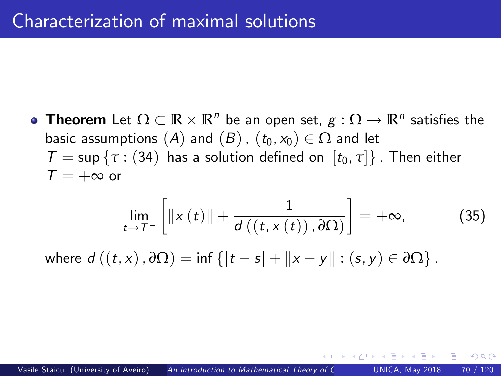**Theorem** Let  $\Omega \subset \mathbb{R} \times \mathbb{R}^n$  be an open set,  $g: \Omega \to \mathbb{R}^n$  satisfies the basic assumptions  $(A)$  and  $(B)$ ,  $(t_0, x_0) \in \Omega$  and let  $T = \sup \{ \tau : (34)$  $T = \sup \{ \tau : (34)$  $T = \sup \{ \tau : (34)$  has a solution defined on  $[t_0, \tau] \}$ . Then either  $T = +\infty$  or

$$
\lim_{t \to T^{-}} \left[ \left\| x(t) \right\| + \frac{1}{d\left( \left( t, x(t) \right), \partial \Omega \right)} \right] = +\infty, \tag{35}
$$

<span id="page-69-0"></span>つひひ

where  $d((t, x), \partial \Omega) = \inf \{ |t - s| + ||x - y|| : (s, y) \in \partial \Omega \}$ .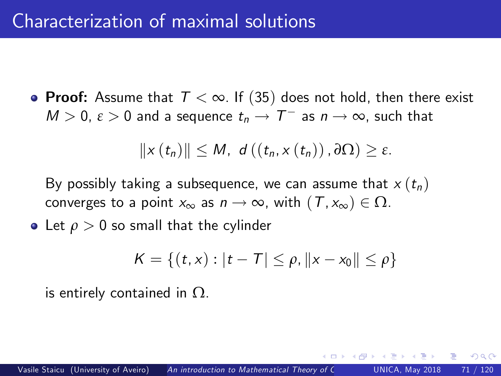• Proof: Assume that  $T < \infty$ . If ([35](#page-69-0)) does not hold, then there exist  $M > 0$ ,  $\varepsilon > 0$  and a sequence  $t_n \to T^-$  as  $n \to \infty$ , such that

$$
||x(t_n)|| \leq M, \ d((t_n,x(t_n)),\partial\Omega) \geq \varepsilon.
$$

By possibly taking a subsequence, we can assume that  $x(t_n)$ converges to a point  $x_{\infty}$  as  $n \to \infty$ , with  $(T, x_{\infty}) \in \Omega$ .

• Let  $\rho > 0$  so small that the cylinder

$$
K = \{(t, x) : |t - T| \le \rho, ||x - x_0|| \le \rho\}
$$

is entirely contained in  $\Omega$ .

つひひ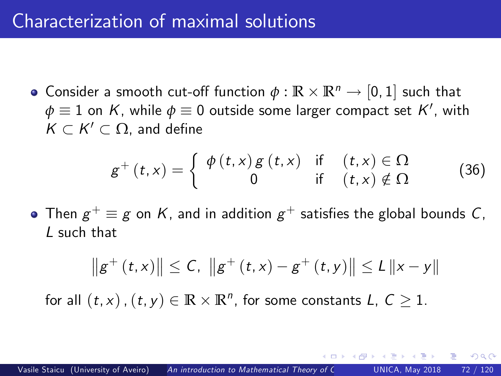## Characterization of maximal solutions

Consider a smooth cut-off function  $\phi : \mathbb{R} \times \mathbb{R}^n \to [0, 1]$  such that  $\phi \equiv 1$  on  $K$ , while  $\phi \equiv 0$  outside some larger compact set  $K'$ , with  $K \subset K' \subset \Omega$ , and define

$$
g^{+}(t,x) = \begin{cases} \phi(t,x) g(t,x) & \text{if } (t,x) \in \Omega \\ 0 & \text{if } (t,x) \notin \Omega \end{cases}
$$
 (36)

 $\Omega$ 

Then  $g^+ \equiv g$  on  $K$ , and in addition  $g^+$  satisfies the global bounds  $C$ , L such that

$$
\|g^+(t,x)\| \leq C, \ \|g^+(t,x) - g^+(t,y)\| \leq L \|x - y\|
$$

for all  $(t, x)$  ,  $(t, y) \in \mathbb{R} \times \mathbb{R}^n$ , for some constants  $L, C \geq 1$ .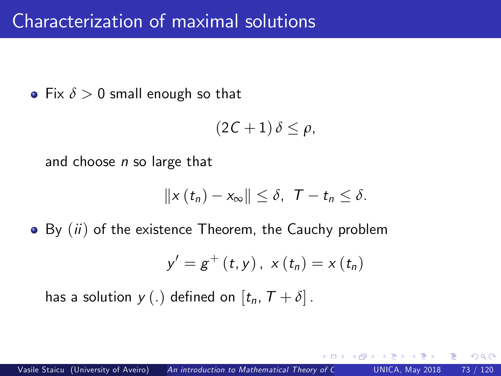• Fix  $\delta > 0$  small enough so that

$$
(2C+1)\,\delta\leq\rho,
$$

and choose  $n$  so large that

$$
||x(t_n)-x_{\infty}||\leq \delta, \ \ T-t_n\leq \delta.
$$

 $\bullet$  By  $(ii)$  of the existence Theorem, the Cauchy problem

$$
y' = g^{+}(t, y), x(t_n) = x(t_n)
$$

has a solution  $y(.)$  defined on  $[t_n, T + \delta]$ .

つひひ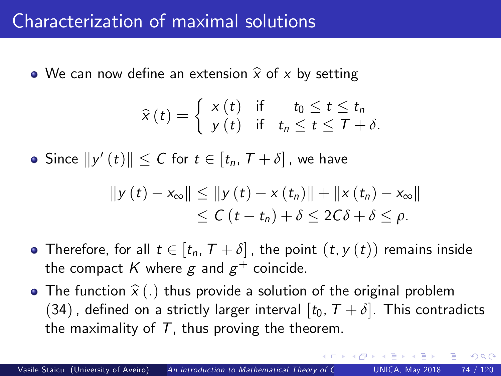#### Characterization of maximal solutions

• We can now define an extension  $\hat{x}$  of x by setting

$$
\widehat{x}(t) = \begin{cases} x(t) & \text{if } t_0 \leq t \leq t_n \\ y(t) & \text{if } t_n \leq t \leq T + \delta. \end{cases}
$$

Since  $||y'(t)|| \leq C$  for  $t \in [t_n, T + \delta]$ , we have

$$
||y(t) - x_{\infty}|| \le ||y(t) - x(t_n)|| + ||x(t_n) - x_{\infty}||
$$
  
\n
$$
\le C(t - t_n) + \delta \le 2C\delta + \delta \le \rho.
$$

- Therefore, for all  $t \in [t_n, T + \delta]$ , the point  $(t, y(t))$  remains inside the compact  $K$  where  $g$  and  $g^+$  coincide.
- The function  $\hat{x}$  (.) thus provide a solution of the original problem ([34](#page-68-0)), defined on a strictly larger interval  $[t_0, T + \delta]$ . This contradicts the maximality of  $T$ , thus proving the theorem.

 $200$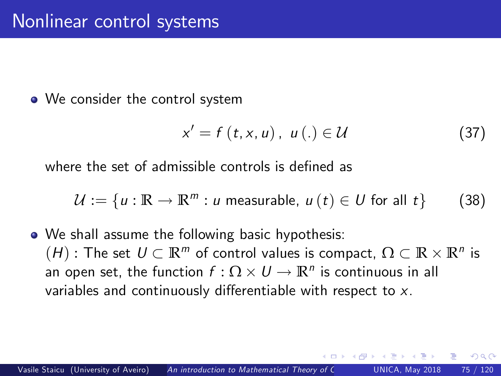• We consider the control system

<span id="page-74-0"></span>
$$
x' = f(t, x, u), \ u(.) \in \mathcal{U}
$$
 (37)

∽≏∩

where the set of admissible controls is defined as

$$
\mathcal{U} := \{ u : \mathbb{R} \to \mathbb{R}^m : u \text{ measurable}, u(t) \in U \text{ for all } t \}
$$
 (38)

• We shall assume the following basic hypothesis:  $(H)$ : The set  $U \subset \mathbb{R}^m$  of control values is compact,  $\Omega \subset \mathbb{R} \times \mathbb{R}^n$  is an open set, the function  $f: \Omega \times U \rightarrow \mathbb{R}^n$  is continuous in all variables and continuously differentiable with respect to  $x$ .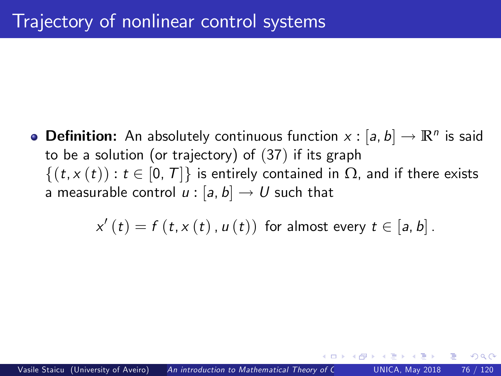**Definition:** An absolutely continuous function  $x : [a, b] \rightarrow \mathbb{R}^n$  is said to be a solution (or trajectory) of ([37](#page-74-0)) if its graph  $\{(t, x(t)) : t \in [0, T]\}\$  is entirely contained in  $\Omega$ , and if there exists a measurable control  $u : [a, b] \rightarrow U$  such that

 $x'\left(t\right)=f\left(t,x\left(t\right),u\left(t\right)\right)$  for almost every  $t\in\left[a,b\right]$ .

つひひ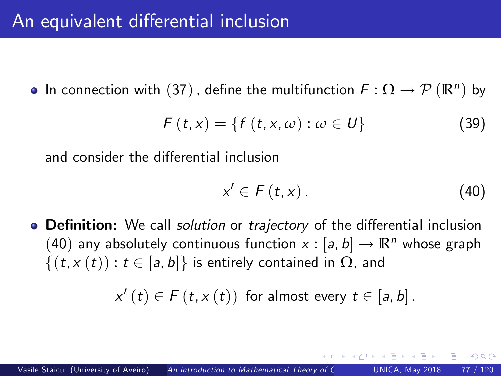### An equivalent differential inclusion

In connection with  $(37)$  $(37)$  $(37)$  , define the multifunction  $F : \Omega \to \mathcal{P}(\mathbb{R}^n)$  by

$$
F(t,x) = \{f(t,x,\omega) : \omega \in U\}
$$
 (39)

and consider the differential inclusion

<span id="page-76-1"></span><span id="page-76-0"></span>
$$
x' \in F(t, x). \tag{40}
$$

∽≏∩

• Definition: We call *solution* or *trajectory* of the differential inclusion ([40](#page-76-0)) any absolutely continuous function  $x : [a, b] \rightarrow \mathbb{R}^n$  whose graph  $\{(t, x(t)) : t \in [a, b]\}\$ is entirely contained in  $\Omega$ , and

 $x'(t) \in F(t, x(t))$  for almost every  $t \in [a, b]$ .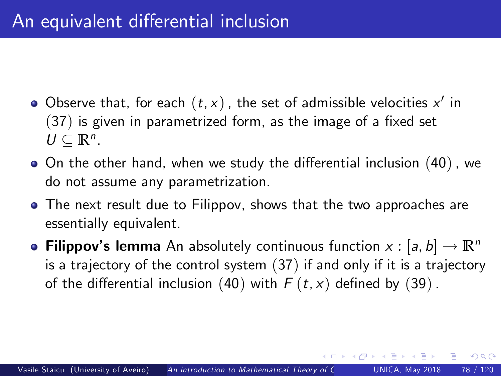- Observe that, for each  $(t,x)$  , the set of admissible velocities  $x^\prime$  in  $(37)$  $(37)$  $(37)$  is given in parametrized form, as the image of a fixed set  $U \subseteq \mathbb{R}^n$ .
- $\bullet$  On the other hand, when we study the differential inclusion ([40](#page-76-0)), we do not assume any parametrization.
- The next result due to Filippov, shows that the two approaches are essentially equivalent.
- **Filippov's lemma** An absolutely continuous function  $x : [a, b] \rightarrow \mathbb{R}^n$ is a trajectory of the control system ([37](#page-74-0)) if and only if it is a trajectory of the differential inclusion ([40](#page-76-0)) with  $F(t, x)$  defined by ([39](#page-76-1)).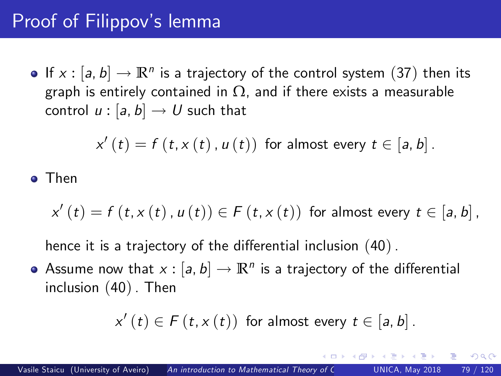# Proof of Filippov's lemma

If  $x : [a, b] \rightarrow \mathbb{R}^n$  is a trajectory of the control system ([37](#page-74-0)) then its graph is entirely contained in  $\Omega$ , and if there exists a measurable control  $u : [a, b] \rightarrow U$  such that

$$
x'(t) = f(t, x(t), u(t))
$$
 for almost every  $t \in [a, b]$ .

#### Then

$$
x'(t) = f(t, x(t), u(t)) \in F(t, x(t))
$$
 for almost every  $t \in [a, b]$ ,

hence it is a trajectory of the differential inclusion  $(40)$  $(40)$  $(40)$ .

Assume now that  $x : [a, b] \to \mathbb{R}^n$  is a trajectory of the differential inclusion ([40](#page-76-0)). Then

$$
x'(t) \in F(t, x(t))
$$
 for almost every  $t \in [a, b]$ .

つひひ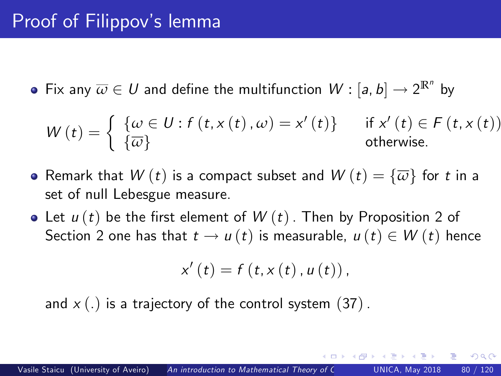## Proof of Filippov's lemma

Fix any  $\overline{\omega} \in U$  and define the multifunction  $W : [a, b] \rightarrow 2^{\mathbb{R}^n}$  by

$$
W(t) = \begin{cases} \{ \omega \in U : f(t, x(t), \omega) = x'(t) \} & \text{if } x'(t) \in F(t, x(t)) \\ \{ \overline{\omega} \} & \text{otherwise.} \end{cases}
$$

- Remark that  $W(t)$  is a compact subset and  $W(t) = \{\overline{\omega}\}\$  for t in a set of null Lebesgue measure.
- Let  $u(t)$  be the first element of  $W(t)$ . Then by Proposition 2 of Section 2 one has that  $t \to u(t)$  is measurable,  $u(t) \in W(t)$  hence

$$
x'(t) = f(t, x(t), u(t)),
$$

and  $x(.)$  is a trajectory of the control system ([37](#page-74-0)).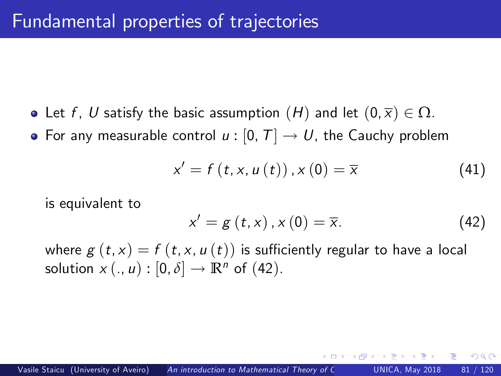- Let f, U satisfy the basic assumption  $(H)$  and let  $(0, \overline{x}) \in \Omega$ .
- For any measurable control  $u : [0, T] \rightarrow U$ , the Cauchy problem

$$
x' = f(t, x, u(t)), x(0) = \overline{x}
$$
 (41)

is equivalent to

<span id="page-80-1"></span><span id="page-80-0"></span>
$$
x' = g(t, x), x(0) = \overline{x}.
$$
 (42)

 $\Omega$ 

where  $g(t, x) = f(t, x, u(t))$  is sufficiently regular to have a local solution  $x(., u) : [0, \delta] \rightarrow \mathbb{R}^n$  of ([42](#page-80-0)).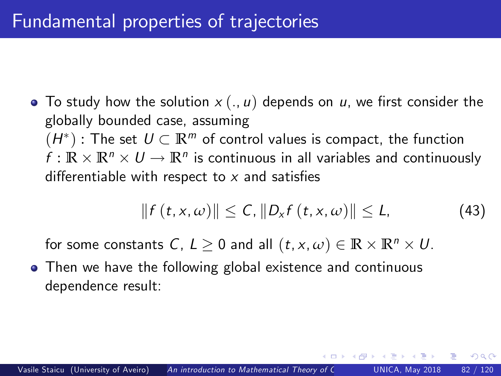## Fundamental properties of trajectories

• To study how the solution  $x (., u)$  depends on u, we first consider the globally bounded case, assuming  $(H^*)$ : The set  $U \subset \mathbb{R}^m$  of control values is compact, the function  $f : \mathbb{R} \times \mathbb{R}^n \times U \to \mathbb{R}^n$  is continuous in all variables and continuously differentiable with respect to  $x$  and satisfies

$$
|| f(t, x, \omega) || \leq C, ||D_x f(t, x, \omega)|| \leq L,
$$
 (43)

 $\Omega$ 

for some constants C,  $L \ge 0$  and all  $(t, x, \omega) \in \mathbb{R} \times \mathbb{R}^n \times U$ .

• Then we have the following global existence and continuous dependence result: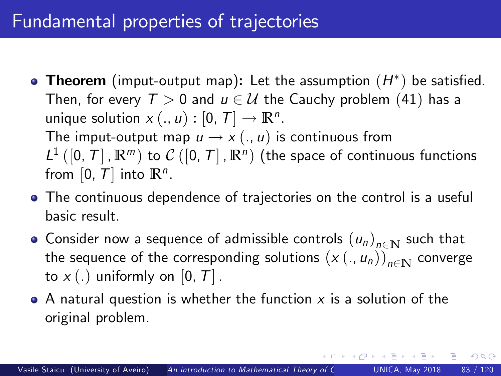## Fundamental properties of trajectories

- **Theorem** (imput-output map): Let the assumption  $(H^*)$  be satisfied. Then, for every  $T > 0$  and  $u \in U$  the Cauchy problem ([41](#page-80-1)) has a unique solution  $x(.,u):[0,T]\to\mathbb{R}^n.$ The imput-output map  $u \rightarrow x (., u)$  is continuous from  $L^1([0,T],\mathbb{R}^m)$  to  $C([0,T],\mathbb{R}^n)$  (the space of continuous functions from  $[0, T]$  into  $\mathbb{R}^n$ .
- The continuous dependence of trajectories on the control is a useful basic result.
- Consider now a sequence of admissible controls  $(u_n)_{n\in\mathbb{N}}$  such that the sequence of the corresponding solutions  $(x (., u_n))_{n \in \mathbb{N}}$  converge to  $x(.)$  uniformly on [0, T].
- $\bullet$  A natural question is whether the function x is a solution of the original problem.

 $200$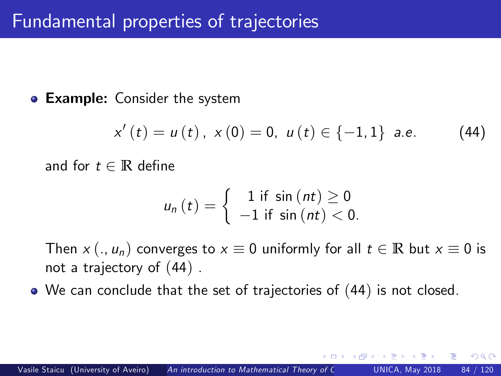#### **Example:** Consider the system

$$
x'(t) = u(t), \ x(0) = 0, \ u(t) \in \{-1, 1\} \ a.e. \tag{44}
$$

<span id="page-83-0"></span> $\Omega$ 

and for  $t \in \mathbb{R}$  define

$$
u_n(t) = \begin{cases} 1 \text{ if } \sin(nt) \geq 0 \\ -1 \text{ if } \sin(nt) < 0. \end{cases}
$$

Then  $x (., u_n)$  converges to  $x \equiv 0$  uniformly for all  $t \in \mathbb{R}$  but  $x \equiv 0$  is not a trajectory of ([44](#page-83-0)) .

We can conclude that the set of trajectories of ([44](#page-83-0)) is not closed.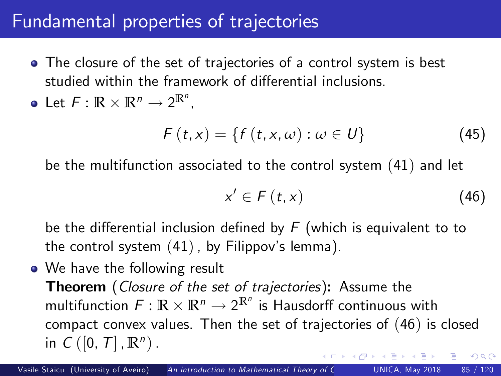### Fundamental properties of trajectories

• The closure of the set of trajectories of a control system is best studied within the framework of differential inclusions.

• Let 
$$
F: \mathbb{R} \times \mathbb{R}^n \to 2^{\mathbb{R}^n}
$$
,

$$
F(t,x) = \{f(t,x,\omega) : \omega \in U\}
$$
 (45)

be the multifunction associated to the control system ([41](#page-80-1)) and let

<span id="page-84-0"></span>
$$
x' \in F(t, x) \tag{46}
$$

be the differential inclusion defined by  $F$  (which is equivalent to to the control system  $(41)$  $(41)$  $(41)$ , by Filippov's lemma).

• We have the following result **Theorem** (Closure of the set of trajectories): Assume the multifunction  $F: \mathbb{R} \times \mathbb{R}^n \to 2^{\mathbb{R}^n}$  is Hausdorff continuous with compact convex values. Then the set of trajectories of ([46](#page-84-0)) is closed in  $C([0, T], \mathbb{R}^n)$ .  $\Omega$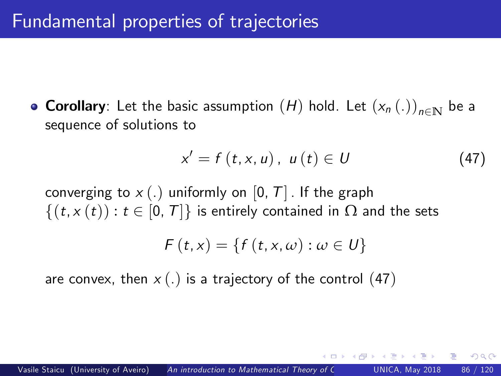**• Corollary**: Let the basic assumption  $(H)$  hold. Let  $(x_n(.)_{n\in\mathbb{N}}$  be a sequence of solutions to

<span id="page-85-0"></span>
$$
x' = f(t, x, u), \ u(t) \in U \tag{47}
$$

∽≏∩

converging to  $x(.)$  uniformly on  $[0, T]$ . If the graph  $\{(t, x(t)) : t \in [0, T]\}\$ is entirely contained in  $\Omega$  and the sets

$$
F(t,x) = \{f(t,x,\omega): \omega \in U\}
$$

are convex, then  $x(.)$  is a trajectory of the control ([47](#page-85-0))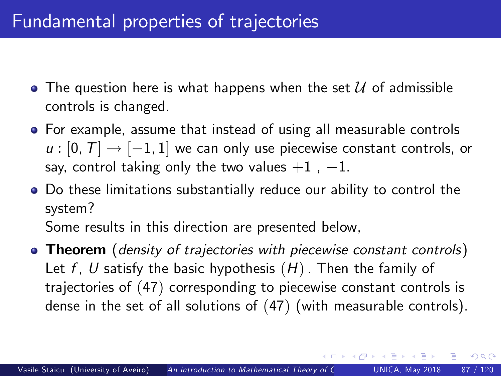- $\bullet$  The question here is what happens when the set  $\mathcal U$  of admissible controls is changed.
- For example, assume that instead of using all measurable controls  $u : [0, T] \rightarrow [-1, 1]$  we can only use piecewise constant controls, or say, control taking only the two values  $+1$ ,  $-1$ .
- Do these limitations substantially reduce our ability to control the system?

Some results in this direction are presented below,

• Theorem (density of trajectories with piecewise constant controls) Let f, U satisfy the basic hypothesis  $(H)$ . Then the family of trajectories of ([47](#page-85-0)) corresponding to piecewise constant controls is dense in the set of all solutions of ([47](#page-85-0)) (with measurable controls).

<span id="page-86-0"></span> $200$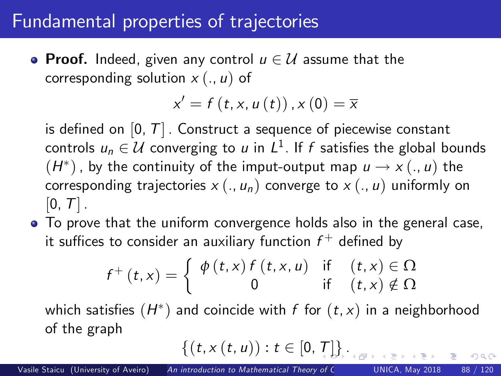#### Fundamental properties of trajectories

**• Proof.** Indeed, given any control  $u \in \mathcal{U}$  assume that the corresponding solution  $x (., u)$  of

$$
x'=f(t,x,u(t)),x(0)=\overline{x}
$$

is defined on  $[0, T]$ . Construct a sequence of piecewise constant controls  $u_n \in \mathcal{U}$  converging to  $u$  in  $L^1$ . If  $f$  satisfies the global bounds  $(H^*)$  , by the continuity of the imput-output map  $u \to x(.,u)$  the corresponding trajectories  $x (., u_n)$  converge to  $x (., u)$  uniformly on  $[0, T]$  .

• To prove that the uniform convergence holds also in the general case, it suffices to consider an auxiliary function  $f^+$  defined by

$$
f^{+}(t,x) = \begin{cases} \phi(t,x) f(t,x,u) & \text{if } (t,x) \in \Omega \\ 0 & \text{if } (t,x) \notin \Omega \end{cases}
$$

which satisfies  $(H^\ast)$  and coincide with  $f$  for  $(t,x)$  in a neighborhood of the graph

$$
\{(t,x(t,u)):t\in[0,T]\}_{\text{max}}
$$

 $200$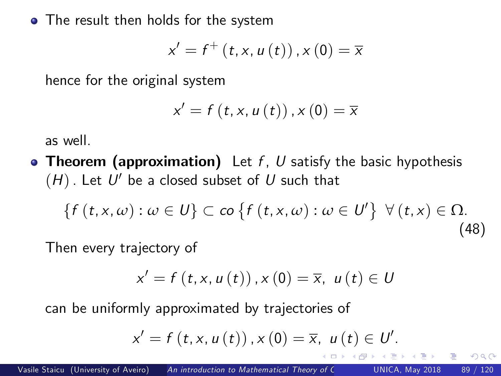• The result then holds for the system

$$
x'=f^{+}\left( t,x,u\left( t\right) \right) ,x\left( 0\right) =\overline{x}%
$$

hence for the original system

<span id="page-88-1"></span>
$$
x'=f(t,x,u\left( t\right) ),x\left( 0\right) =\overline{x}
$$

as well.

**• Theorem (approximation)** Let  $f$ ,  $U$  satisfy the basic hypothesis  $\mathcal{H}(H)$  . Let  $\mathcal{U}'$  be a closed subset of  $U$  such that

$$
\{f(t, x, \omega) : \omega \in U\} \subset \text{co} \{f(t, x, \omega) : \omega \in U'\} \ \forall (t, x) \in \Omega.
$$
\n(48)

Then every trajectory of

$$
x' = f(t, x, u(t)), x(0) = \overline{x}, u(t) \in U
$$

can be uniformly approximated by trajectories of

<span id="page-88-0"></span>
$$
x' = f(t, x, u(t)), x(0) = \overline{x}, u(t) \in U'.
$$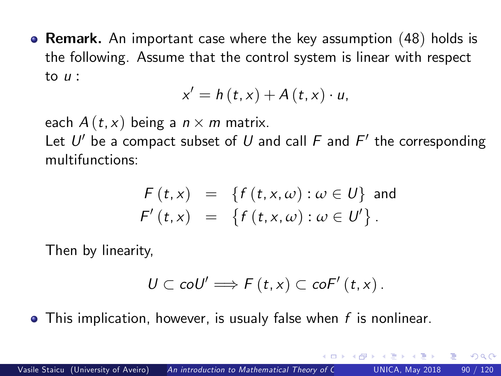**• Remark.** An important case where the key assumption  $(48)$  $(48)$  $(48)$  holds is the following. Assume that the control system is linear with respect to  $\mu$  :

$$
x'=h(t,x)+A(t,x)\cdot u,
$$

each  $A(t, x)$  being a  $n \times m$  matrix. Let  $U'$  be a compact subset of  $U$  and call  ${\mathcal F}$  and  ${\mathcal F}'$  the corresponding multifunctions:

$$
F(t,x) = \{f(t,x,\omega) : \omega \in U\} \text{ and}
$$
  

$$
F'(t,x) = \{f(t,x,\omega) : \omega \in U'\}.
$$

Then by linearity,

$$
U\subset\mathit{co}U'\Longrightarrow\mathit{F}\left(t,x\right)\subset\mathit{co}F'\left(t,x\right).
$$

<span id="page-89-0"></span> $\Omega$ 

 $\bullet$  This implication, however, is usualy false when f is nonlinear.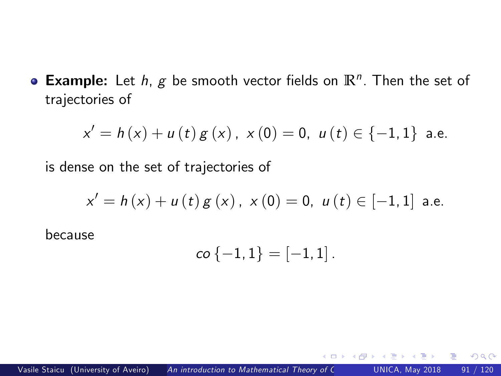**Example:** Let  $h$ ,  $g$  be smooth vector fields on  $\mathbb{R}^n$ . Then the set of trajectories of

$$
x' = h(x) + u(t) g(x), \ x(0) = 0, \ u(t) \in \{-1, 1\} \ \text{a.e.}
$$

is dense on the set of trajectories of

$$
x' = h(x) + u(t) g(x), \ x(0) = 0, \ u(t) \in [-1,1] \ \text{a.e.}
$$

because

$$
co\{-1,1\}=[-1,1].
$$

 $\leftarrow$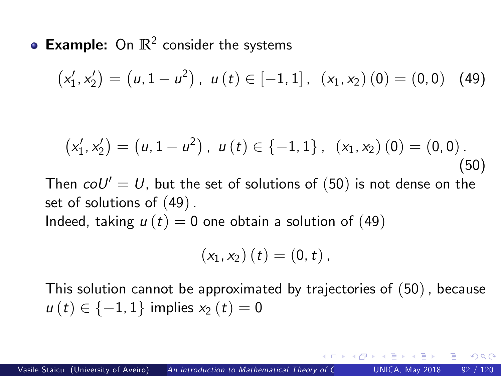**Example:** On  $\mathbb{R}^2$  consider the systems

$$
(x'_1, x'_2) = (u, 1 - u^2), u(t) \in [-1, 1], (x_1, x_2) (0) = (0, 0) (49)
$$

$$
(x'_1, x'_2) = (u, 1 - u^2), u(t) \in \{-1, 1\}, (x_1, x_2) (0) = (0, 0).
$$
  
Then  $c_1 \circ U' = U$ , but the set of solutions of (50) is not dense on the set of solutions of (49).

Indeed, taking  $u(t) = 0$  one obtain a solution of ([49](#page-91-1))

$$
(x_1, x_2) (t) = (0, t)
$$
,

This solution cannot be approximated by trajectories of ([50](#page-91-0)), because  $u(t) \in \{-1, 1\}$  implies  $x_2(t) = 0$ 

<span id="page-91-1"></span><span id="page-91-0"></span> $200$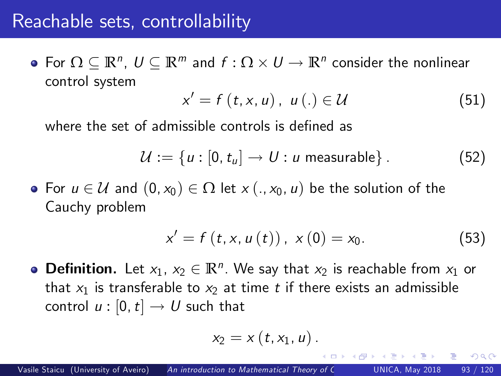#### Reachable sets, controllability

For  $\Omega \subseteq \mathbb{R}^n$ ,  $U \subseteq \mathbb{R}^m$  and  $f: \Omega \times U \rightarrow \mathbb{R}^n$  consider the nonlinear control system

<span id="page-92-0"></span>
$$
x' = f(t, x, u), \ u(.) \in \mathcal{U}
$$
 (51)

where the set of admissible controls is defined as

$$
\mathcal{U} := \{u : [0, t_u] \to U : u \text{ measurable}\}.
$$
 (52)

• For  $u \in \mathcal{U}$  and  $(0, x_0) \in \Omega$  let  $x (., x_0, u)$  be the solution of the Cauchy problem

$$
x' = f(t, x, u(t)), x(0) = x_0.
$$
 (53)

つひい

**Definition.** Let  $x_1, x_2 \in \mathbb{R}^n$ . We say that  $x_2$  is reachable from  $x_1$  or that  $x_1$  is transferable to  $x_2$  at time t if there exists an admissible control  $u : [0, t] \rightarrow U$  such that

$$
x_2=x\left(t,x_1,u\right).
$$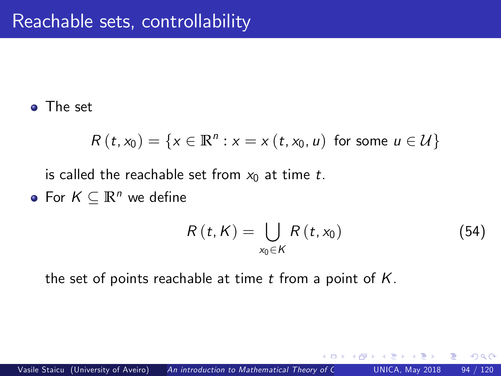The set

$$
R(t,x_0)=\{x\in\mathbb{R}^n:x=x(t,x_0,u)\ \text{for some}\ u\in\mathcal{U}\}
$$

is called the reachable set from  $x_0$  at time t.

• For  $K \subseteq \mathbb{R}^n$  we define

$$
R\left(t,K\right)=\bigcup_{x_0\in K}R\left(t,x_0\right)\tag{54}
$$

 $\Omega$ 

the set of points reachable at time  $t$  from a point of  $K$ .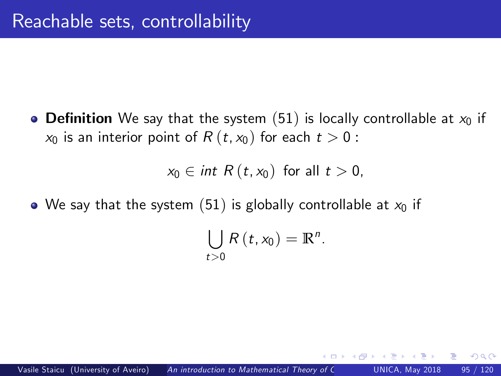• Definition We say that the system ([51](#page-92-0)) is locally controllable at  $x_0$  if  $x_0$  is an interior point of  $R(t, x_0)$  for each  $t > 0$ :

 $x_0 \in int \ R(t, x_0)$  for all  $t > 0$ ,

• We say that the system ([51](#page-92-0)) is globally controllable at  $x_0$  if

$$
\bigcup_{t>0}R(t,x_0)=\mathbb{R}^n.
$$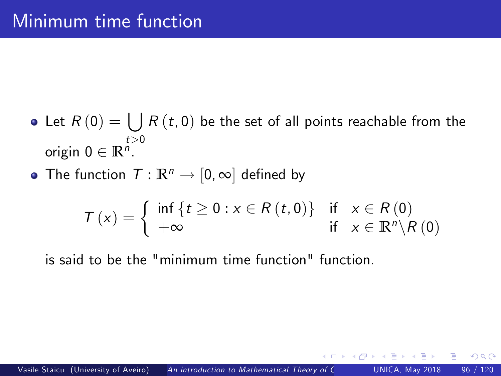- Let  $R\left( 0\right) =\bigcup R\left( t,0\right)$  be the set of all points reachable from the origin  $0 \in \mathbb{R}^{n}$ .
- The function  $T : \mathbb{R}^n \to [0, \infty]$  defined by

$$
T(x) = \begin{cases} \inf \{ t \ge 0 : x \in R(t,0) \} & \text{if } x \in R(0) \\ +\infty & \text{if } x \in \mathbb{R}^n \setminus R(0) \end{cases}
$$

is said to be the "minimum time function" function.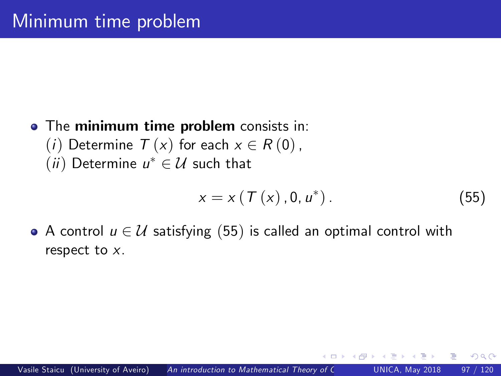#### • The minimum time problem consists in: (*i*) Determine  $T(x)$  for each  $x \in R(0)$ ,  $(ii)$  Determine  $u^* \in \mathcal{U}$  such that

<span id="page-96-0"></span>
$$
x = x \left( T \left( x \right), 0, u^* \right). \tag{55}
$$

 $\Omega$ 

• A control  $u \in \mathcal{U}$  satisfying ([55](#page-96-0)) is called an optimal control with respect to x.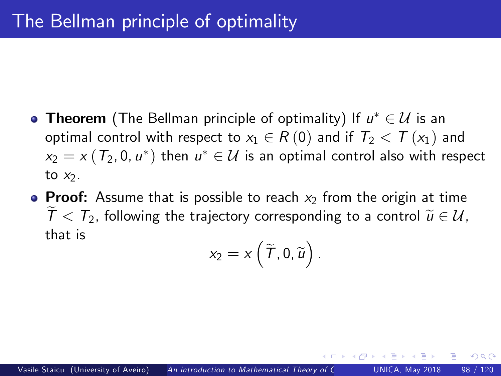- **Theorem** (The Bellman principle of optimality) If  $u^* \in \mathcal{U}$  is an optimal control with respect to  $x_1 \in R(0)$  and if  $T_2 < T(x_1)$  and  $x_2 = x(T_2, 0, u^*)$  then  $u^* \in \mathcal{U}$  is an optimal control also with respect to  $x_2$ .
- Proof: Assume that is possible to reach  $x_2$  from the origin at time  $T < T_2$ , following the trajectory corresponding to a control  $\tilde{u} \in \mathcal{U}$ . that is

$$
x_2=x\left(\widetilde{\mathsf{T}},0,\widetilde{u}\right).
$$

つひひ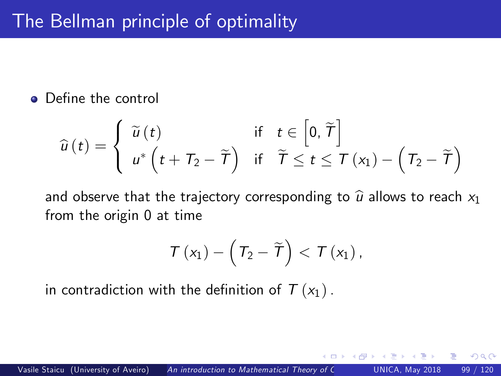#### • Define the control

$$
\widehat{u}(t) = \begin{cases}\n\widetilde{u}(t) & \text{if } t \in \left[0, \widetilde{T}\right] \\
u^*\left(t + T_2 - \widetilde{T}\right) & \text{if } \widetilde{T} \le t \le T\left(x_1\right) - \left(T_2 - \widetilde{T}\right)\n\end{cases}
$$

and observe that the trajectory corresponding to  $\hat{u}$  allows to reach  $x_1$ from the origin 0 at time

$$
\mathcal{T}\left(x_{1}\right)-\left(\mathcal{T}_{2}-\widetilde{\mathcal{T}}\right)<\mathcal{T}\left(x_{1}\right),
$$

in contradiction with the definition of  $T (x_1)$ .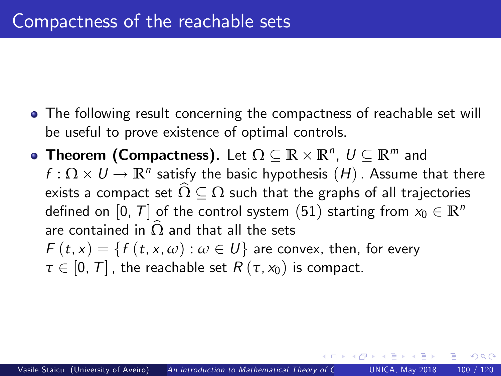- The following result concerning the compactness of reachable set will be useful to prove existence of optimal controls.
- **Theorem (Compactness).** Let  $\Omega \subseteq \mathbb{R} \times \mathbb{R}^n$ ,  $U \subseteq \mathbb{R}^m$  and  $f: \Omega \times U \to \mathbb{R}^n$  satisfy the basic hypothesis  $(H)$  . Assume that there exists a compact set  $\widehat{\Omega}\subseteq \Omega$  such that the graphs of all trajectories defined on [0, T] of the control system ([51](#page-92-0)) starting from  $x_0 \in \mathbb{R}^n$ are contained in  $\Omega$  and that all the sets  $F(t, x) = \{f(t, x, \omega) : \omega \in U\}$  are convex, then, for every  $\tau \in [0, T]$ , the reachable set  $R(\tau, x_0)$  is compact.

つひひ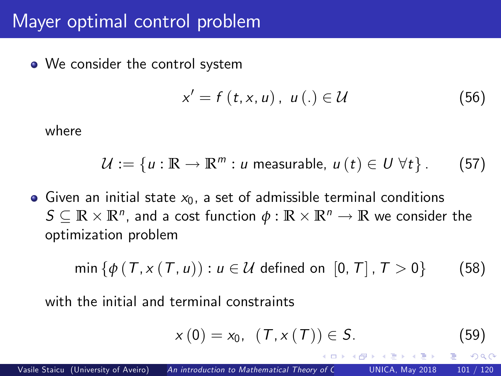#### Mayer optimal control problem

• We consider the control system

<span id="page-100-1"></span>
$$
x' = f(t, x, u), \ u(.) \in \mathcal{U}
$$
 (56)

where

$$
\mathcal{U} := \{u : \mathbb{R} \to \mathbb{R}^m : u \text{ measurable}, u(t) \in U \,\forall t\}. \tag{57}
$$

• Given an initial state  $x_0$ , a set of admissible terminal conditions  $S \subseteq \mathbb{R} \times \mathbb{R}^n$ , and a cost function  $\phi : \mathbb{R} \times \mathbb{R}^n \to \mathbb{R}$  we consider the optimization problem

$$
\min \left\{ \phi \left( T, x \left( T, u \right) \right) : u \in \mathcal{U} \text{ defined on } [0, T], T > 0 \right\} \tag{58}
$$

with the initial and terminal constraints

<span id="page-100-2"></span><span id="page-100-0"></span>
$$
x(0) = x_0, (T, x(T)) \in S.
$$
 (59)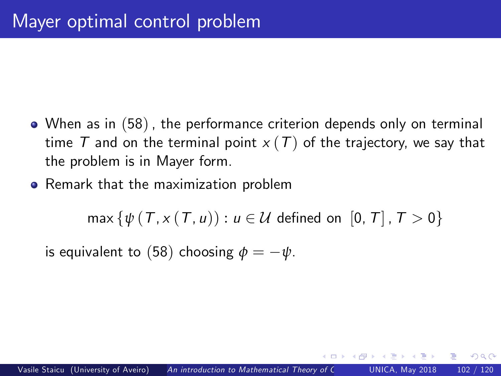- When as in ([58](#page-100-0)), the performance criterion depends only on terminal time T and on the terminal point  $x(T)$  of the trajectory, we say that the problem is in Mayer form.
- **•** Remark that the maximization problem

 $max\{\psi(T, x(T, u)) : u \in \mathcal{U} \text{ defined on } [0, T], T > 0\}$ 

is equivalent to ([58](#page-100-0)) choosing  $\phi = -\psi$ .

 $200$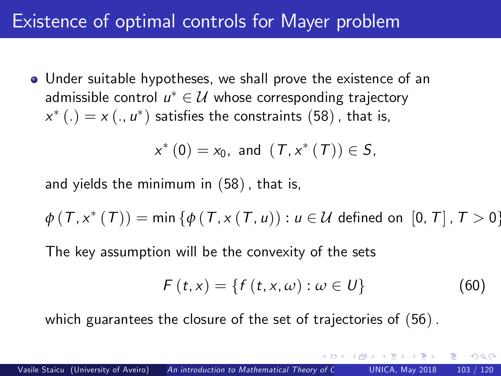## Existence of optimal controls for Mayer problem

Under suitable hypotheses, we shall prove the existence of an admissible control  $u^* \in \mathcal{U}$  whose corresponding trajectory  $\mathsf{x}^* \left( . \right) = \mathsf{x} \left( ., \mathsf{u}^* \right)$  satisfies the constraints  $(58)$  $(58)$  $(58)$  , that is,

$$
x^*(0) = x_0
$$
, and  $(T, x^*(T)) \in S$ ,

and yields the minimum in ([58](#page-100-0)), that is,

$$
\phi(T, x^*(T)) = \min \{ \phi(T, x(T, u)) : u \in \mathcal{U} \text{ defined on } [0, T], T > 0 \}
$$

The key assumption will be the convexity of the sets

$$
F(t,x) = \{f(t,x,\omega) : \omega \in U\}
$$
 (60)

<span id="page-102-0"></span> $\Omega$ 

which guarantees the closure of the set of trajectories of ([56](#page-100-1)).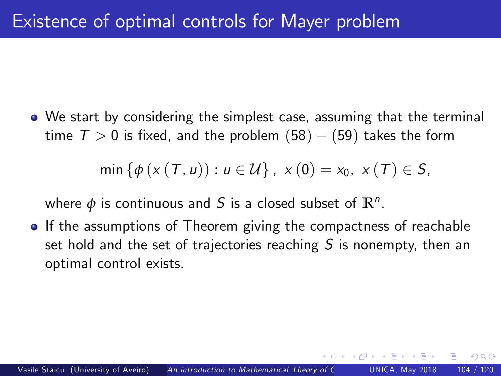We start by considering the simplest case, assuming that the terminal time  $T > 0$  is fixed, and the problem  $(58) - (59)$  $(58) - (59)$  $(58) - (59)$  $(58) - (59)$  $(58) - (59)$  takes the form

min {
$$
\phi
$$
 ( $x$  ( $T$ ,  $u$ )) :  $u \in U$ },  $x$  ( $0$ ) =  $x_0$ ,  $x$  ( $T$ )  $\in S$ ,

where  $\phi$  is continuous and  $S$  is a closed subset of  $\mathbb{R}^n$ .

• If the assumptions of Theorem giving the compactness of reachable set hold and the set of trajectories reaching  $S$  is nonempty, then an optimal control exists.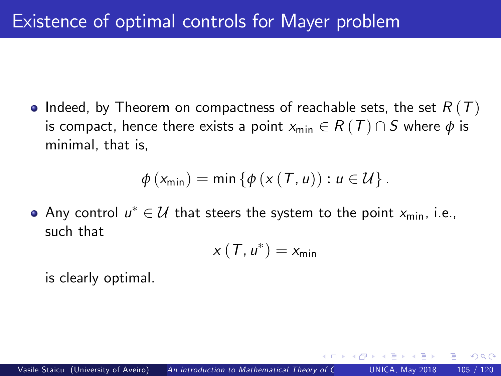$\bullet$  Indeed, by Theorem on compactness of reachable sets, the set  $R(T)$ is compact, hence there exists a point  $x_{\text{min}} \in R(T) \cap S$  where  $\phi$  is minimal, that is,

$$
\phi(x_{\min}) = \min \{ \phi(x(T, u)) : u \in \mathcal{U} \}.
$$

Any control  $u^* \in \mathcal{U}$  that steers the system to the point  $x_{\min}$ , i.e., such that

$$
x(T, u^*) = x_{\min}
$$

is clearly optimal.

つひひ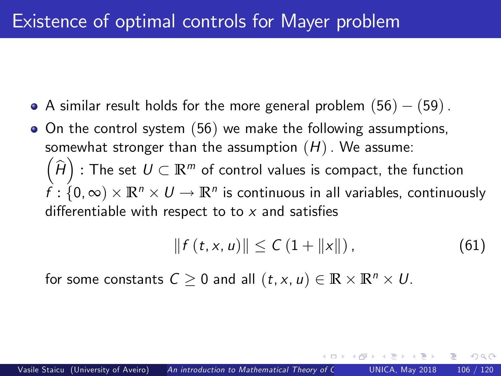- A similar result holds for the more general problem  $(56) (59)$  $(56) (59)$  $(56) (59)$  $(56) (59)$  $(56) (59)$ .
- $\bullet$  On the control system ([56](#page-100-1)) we make the following assumptions, somewhat stronger than the assumption  $(H)$ . We assume:  $\left(\widehat{H}\right)$  : The set  $U\subset \mathbb{R}^m$  of control values is compact, the function  $f : \{0, \infty) \times \mathbb{R}^n \times U \rightarrow \mathbb{R}^n$  is continuous in all variables, continuously differentiable with respect to to  $x$  and satisfies

$$
|| f(t, x, u) || \leq C (1 + ||x||), \qquad (61)
$$

 $\Omega$ 

for some constants  $C \ge 0$  and all  $(t, x, u) \in \mathbb{R} \times \mathbb{R}^n \times U$ .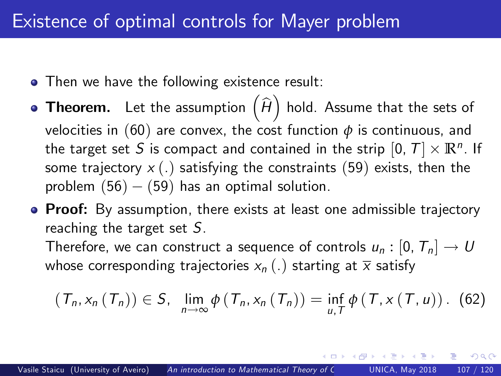### Existence of optimal controls for Mayer problem

- Then we have the following existence result:
- **Theorem.** Let the assumption  $\left(\widehat{H}\right)$  hold. Assume that the sets of velocities in ([60](#page-102-0)) are convex, the cost function  $\phi$  is continuous, and the target set S is compact and contained in the strip  $[0, T] \times \mathbb{R}^n$ . If some trajectory  $x(.)$  satisfying the constraints ([59](#page-100-2)) exists, then the problem  $(56) - (59)$  $(56) - (59)$  $(56) - (59)$  $(56) - (59)$  $(56) - (59)$  has an optimal solution.
- Proof: By assumption, there exists at least one admissible trajectory reaching the target set  $S$ .

Therefore, we can construct a sequence of controls  $u_n : [0, T_n] \to U$ whose corresponding trajectories  $x_n(.)$  starting at  $\overline{x}$  satisfy

$$
(\mathcal{T}_n, x_n(\mathcal{T}_n)) \in S, \ \ \lim_{n \to \infty} \phi(\mathcal{T}_n, x_n(\mathcal{T}_n)) = \inf_{u, \mathcal{T}} \phi(\mathcal{T}, x(\mathcal{T}, u)). \tag{62}
$$

 $200$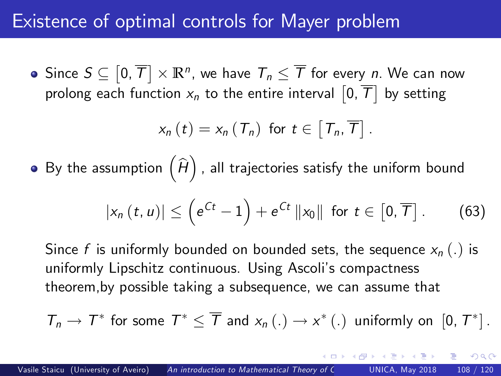#### Existence of optimal controls for Mayer problem

Since  $S \subseteq \left[0, \overline{T}\right] \times \mathbb{R}^n$ , we have  $\mathcal{T}_n \leq \overline{\mathcal{T}}$  for every  $n$ . We can now prolong each function  $\mathsf{x}_n$  to the entire interval  $\left[0,\overline{\mathcal{T}}\right]$  by setting

$$
x_{n}(t)=x_{n}(T_{n}) \text{ for } t\in\left[T_{n},\overline{T}\right].
$$

By the assumption  $\left(\widehat{H}\right)$  , all trajectories satisfy the uniform bound

$$
|x_n(t, u)| \leq \left(e^{Ct} - 1\right) + e^{Ct} ||x_0|| \text{ for } t \in [0, \overline{T}]. \tag{63}
$$

つへへ

Since f is uniformly bounded on bounded sets, the sequence  $x_n(.)$  is uniformly Lipschitz continuous. Using Ascoli's compactness theorem,by possible taking a subsequence, we can assume that

$$
T_n \to T^* \text{ for some } T^* \leq \overline{T} \text{ and } x_n(.) \to x^* (.) \text{ uniformly on } [0, T^*].
$$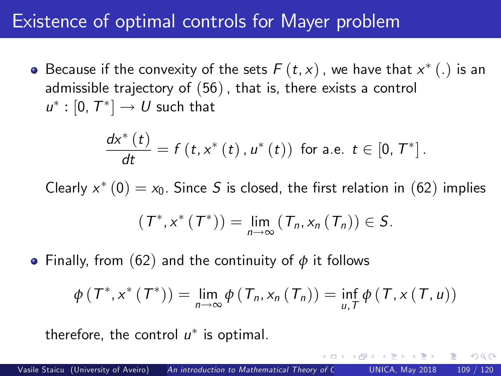## Existence of optimal controls for Mayer problem

Because if the convexity of the sets  $F\left( t,x\right)$  , we have that  $x^{\ast }\left( .\right)$  is an admissible trajectory of ([56](#page-100-0)), that is, there exists a control  $u^*: [0, T^*] \rightarrow U$  such that

$$
\frac{dx^{*}(t)}{dt}=f(t,x^{*}(t),u^{*}(t)) \text{ for a.e. } t\in[0,T^{*}].
$$

Clearly  $x^*\left(\mathsf{0}\right)=x_0.$  Since  $S$  is closed, the first relation in  $(62)$  $(62)$  $(62)$  implies

$$
(\mathcal{T}^*,x^*(\mathcal{T}^*))=\lim_{n\to\infty}(\mathcal{T}_n,x_n(\mathcal{T}_n))\in S.
$$

Finally, from ([62](#page-106-0)) and the continuity of *φ* it follows

$$
\phi(T^*,x^*(T^*)) = \lim_{n \to \infty} \phi(T_n,x_n(T_n)) = \inf_{u,T} \phi(T,x(T,u))
$$

 $\Omega$ 

therefore, the control  $u^*$  is optimal.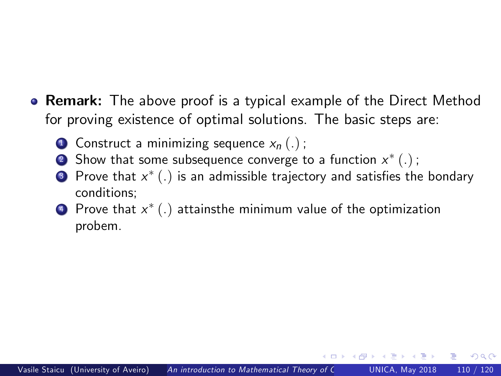- **Remark:** The above proof is a typical example of the Direct Method for proving existence of optimal solutions. The basic steps are:
	- **1** Construct a minimizing sequence  $x_n(.)$ ;
	- $\bullet$  Show that some subsequence converge to a function  $x^{*}\left(.\right)$  ;
	- $\bullet$  Prove that  $x^{*}\left(.\right)$  is an admissible trajectory and satisfies the bondary conditions;
	- $\textbf{\texttt{4}}$  Prove that  $x^*(.)$  attainsthe minimum value of the optimization probem.

つへへ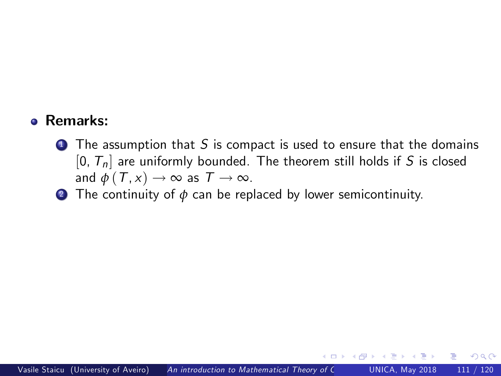#### Remarks:

- $\bullet$  The assumption that S is compact is used to ensure that the domains  $[0, T_n]$  are uniformly bounded. The theorem still holds if S is closed and  $\phi(T, x) \rightarrow \infty$  as  $T \rightarrow \infty$ .
- 2 The continuity of *φ* can be replaced by lower semicontinuity.

 $\Omega$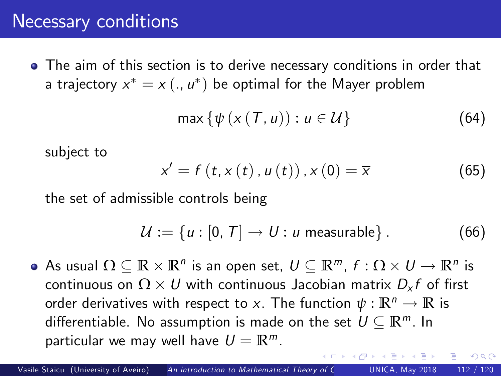### Necessary conditions

The aim of this section is to derive necessary conditions in order that a trajectory  $x^*=x\left(.,\,u^*\right)$  be optimal for the Mayer problem

<span id="page-111-0"></span>
$$
\max \{ \psi \left( x \left( \mathcal{T}, u \right) \right) : u \in \mathcal{U} \}
$$
 (64)

subject to

$$
x' = f(t, x(t), u(t)), x(0) = \overline{x}
$$
 (65)

the set of admissible controls being

$$
\mathcal{U} := \{u : [0, T] \to U : u \text{ measurable}\}.
$$
 (66)

<span id="page-111-1"></span> $\Omega$ 

As usual  $\Omega \subseteq \mathbb{R} \times \mathbb{R}^n$  is an open set,  $U \subseteq \mathbb{R}^m$ ,  $f : \Omega \times U \rightarrow \mathbb{R}^n$  is continuous on  $\Omega \times U$  with continuous Jacobian matrix  $D_{\mathsf{x}} f$  of first order derivatives with respect to x. The function  $\psi : \mathbb{R}^n \to \mathbb{R}$  is differentiable. No assumption is made on the set  $U \subseteq \mathbb{R}^m$ . In particular we may well have  $U = \mathbb{R}^m$ .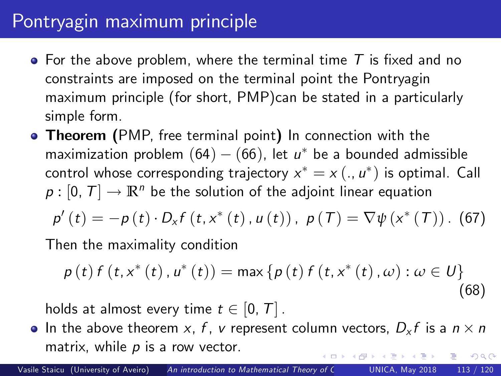# Pontryagin maximum principle

- For the above problem, where the terminal time  $T$  is fixed and no constraints are imposed on the terminal point the Pontryagin maximum principle (for short, PMP)can be stated in a particularly simple form.
- **Theorem** (PMP, free terminal point) In connection with the maximization problem  $(64) - (66)$  $(64) - (66)$  $(64) - (66)$  $(64) - (66)$  $(64) - (66)$ , let  $u^*$  be a bounded admissible control whose corresponding trajectory  $x^* = x\left(.,u^*\right)$  is optimal. <code>Call</code>  $p : [0, T] \rightarrow \mathbb{R}^n$  be the solution of the adjoint linear equation  $p'(t) = -p(t) \cdot D_x f(t, x^*(t), u(t))$ ,  $p(T) = \nabla \psi(x^*(T))$ . (67)

Then the maximality condition

<span id="page-112-1"></span><span id="page-112-0"></span>
$$
p(t) f(t, x^{*}(t), u^{*}(t)) = \max \{p(t) f(t, x^{*}(t), \omega) : \omega \in U\}
$$
\n(68)

holds at almost every time  $t \in [0, T]$ .

In the above theorem  $x$ ,  $f$ ,  $v$  represent column vectors,  $D_x f$  is a  $n \times n$ matrix, while  $p$  is a row vector.  $\Omega$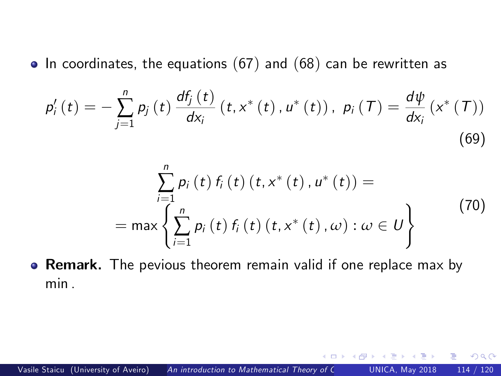$\bullet$  In coordinates, the equations ([67](#page-112-0)) and ([68](#page-112-1)) can be rewritten as

$$
p'_{i}(t) = -\sum_{j=1}^{n} p_{j}(t) \frac{df_{j}(t)}{dx_{i}} (t, x^{*}(t), u^{*}(t)), p_{i}(T) = \frac{d\psi}{dx_{i}} (x^{*}(T))
$$
\n(69)

$$
\sum_{i=1}^{n} p_{i} (t) f_{i} (t) (t, x^{*} (t), u^{*} (t)) =
$$
\n
$$
= \max \left\{ \sum_{i=1}^{n} p_{i} (t) f_{i} (t) (t, x^{*} (t), \omega) : \omega \in U \right\}
$$
\n(70)

<span id="page-113-0"></span> $\Omega$ 

**• Remark.** The pevious theorem remain valid if one replace max by min .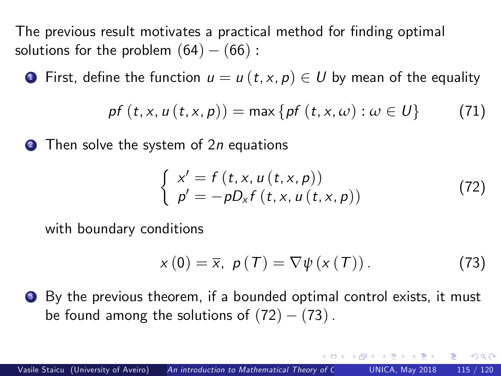The previous result motivates a practical method for finding optimal solutions for the problem  $(64) - (66)$  $(64) - (66)$  $(64) - (66)$  $(64) - (66)$  $(64) - (66)$ :

**1** First, define the function  $u = u(t, x, p) \in U$  by mean of the equality

$$
p f(t, x, u(t, x, p)) = \max \{ p f(t, x, \omega) : \omega \in U \}
$$
 (71)

**2** Then solve the system of 2n equations

$$
\begin{cases}\n x' = f(t, x, u(t, x, p)) \\
 p' = -pD_x f(t, x, u(t, x, p))\n\end{cases}
$$
\n(72)

with boundary conditions

$$
x(0) = \overline{x}, \ p(T) = \nabla \psi(x(T)). \tag{73}
$$

<span id="page-114-2"></span><span id="page-114-1"></span><span id="page-114-0"></span> $\Omega$ 

<sup>3</sup> By the previous theorem, if a bounded optimal control exists, it must be found among the solutions of  $(72) - (73)$  $(72) - (73)$  $(72) - (73)$  $(72) - (73)$  $(72) - (73)$ .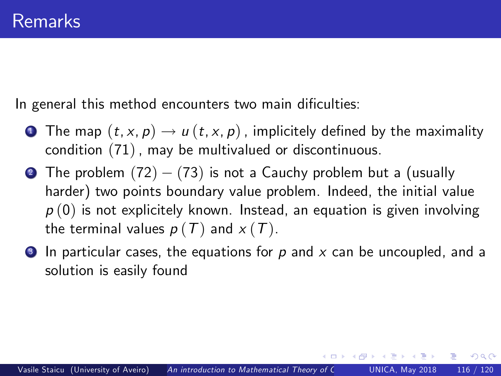In general this method encounters two main dificulties:

- **1** The map  $(t, x, p) \rightarrow u(t, x, p)$ , implicitely defined by the maximality condition ([71](#page-114-2)), may be multivalued or discontinuous.
- **2** The problem  $(72) (73)$  $(72) (73)$  $(72) (73)$  $(72) (73)$  $(72) (73)$  is not a Cauchy problem but a (usually harder) two points boundary value problem. Indeed, the initial value  $p(0)$  is not explicitely known. Instead, an equation is given involving the terminal values  $p(T)$  and  $x(T)$ .
- $\bullet$  In particular cases, the equations for p and x can be uncoupled, and a solution is easily found

<span id="page-115-0"></span> $200$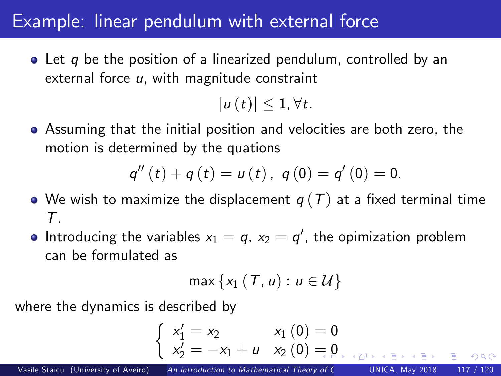## Example: linear pendulum with external force

 $\bullet$  Let q be the position of a linearized pendulum, controlled by an external force  $u$ , with magnitude constraint

 $|u(t)| \leq 1, \forall t.$ 

Assuming that the initial position and velocities are both zero, the motion is determined by the quations

$$
q''(t) + q(t) = u(t), q(0) = q'(0) = 0.
$$

- We wish to maximize the displacement  $q(T)$  at a fixed terminal time  $\tau$ .
- Introducing the variables  $x_1 = q$ ,  $x_2 = q^{\prime}$ , the opimization problem can be formulated as

$$
\max\left\{x_1\left(T,u\right):u\in\mathcal{U}\right\}
$$

where the dynamics is described by

$$
\begin{cases}\nx'_1 = x_2 & x_1(0) = 0 \\
x'_2 = -x_1 + u & x_2(0) = 0\n\end{cases}
$$

 $\Omega$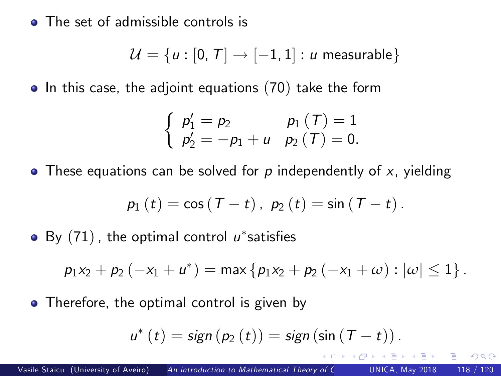• The set of admissible controls is

$$
\mathcal{U} = \{u : [0, T] \rightarrow [-1, 1] : u \text{ measurable}\}
$$

 $\bullet$  In this case, the adjoint equations ([70](#page-113-0)) take the form

$$
\begin{cases}\np'_1 = p_2 & p_1(T) = 1 \\
p'_2 = -p_1 + u & p_2(T) = 0.\n\end{cases}
$$

 $\bullet$  These equations can be solved for p independently of x, yielding

$$
p_1(t) = \cos(T - t), p_2(t) = \sin(T - t).
$$

By  $(71)$  $(71)$  $(71)$  , the optimal control  $\mu^*$ satisfies

$$
p_1x_2+p_2(-x_1+u^*)=\max\{p_1x_2+p_2(-x_1+\omega):|\omega|\leq 1\}.
$$

• Therefore, the optimal control is given by

$$
u^*(t) = sign(p_2(t)) = sign(sin(T - t)).
$$

<span id="page-117-0"></span>റെ റ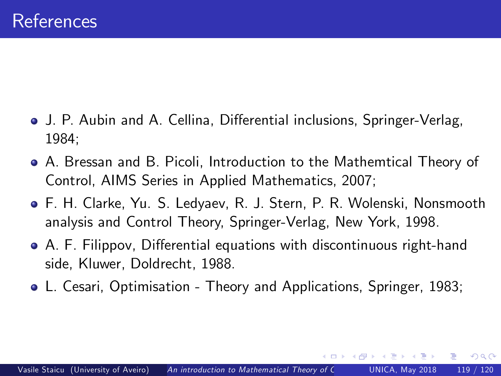- J. P. Aubin and A. Cellina, Differential inclusions, Springer-Verlag, 1984;
- A. Bressan and B. Picoli, Introduction to the Mathemtical Theory of Control, AIMS Series in Applied Mathematics, 2007;
- F. H. Clarke, Yu. S. Ledyaev, R. J. Stern, P. R. Wolenski, Nonsmooth analysis and Control Theory, Springer-Verlag, New York, 1998.
- A. F. Filippov, Differential equations with discontinuous right-hand side, Kluwer, Doldrecht, 1988.
- L. Cesari, Optimisation Theory and Applications, Springer, 1983;

 $200$